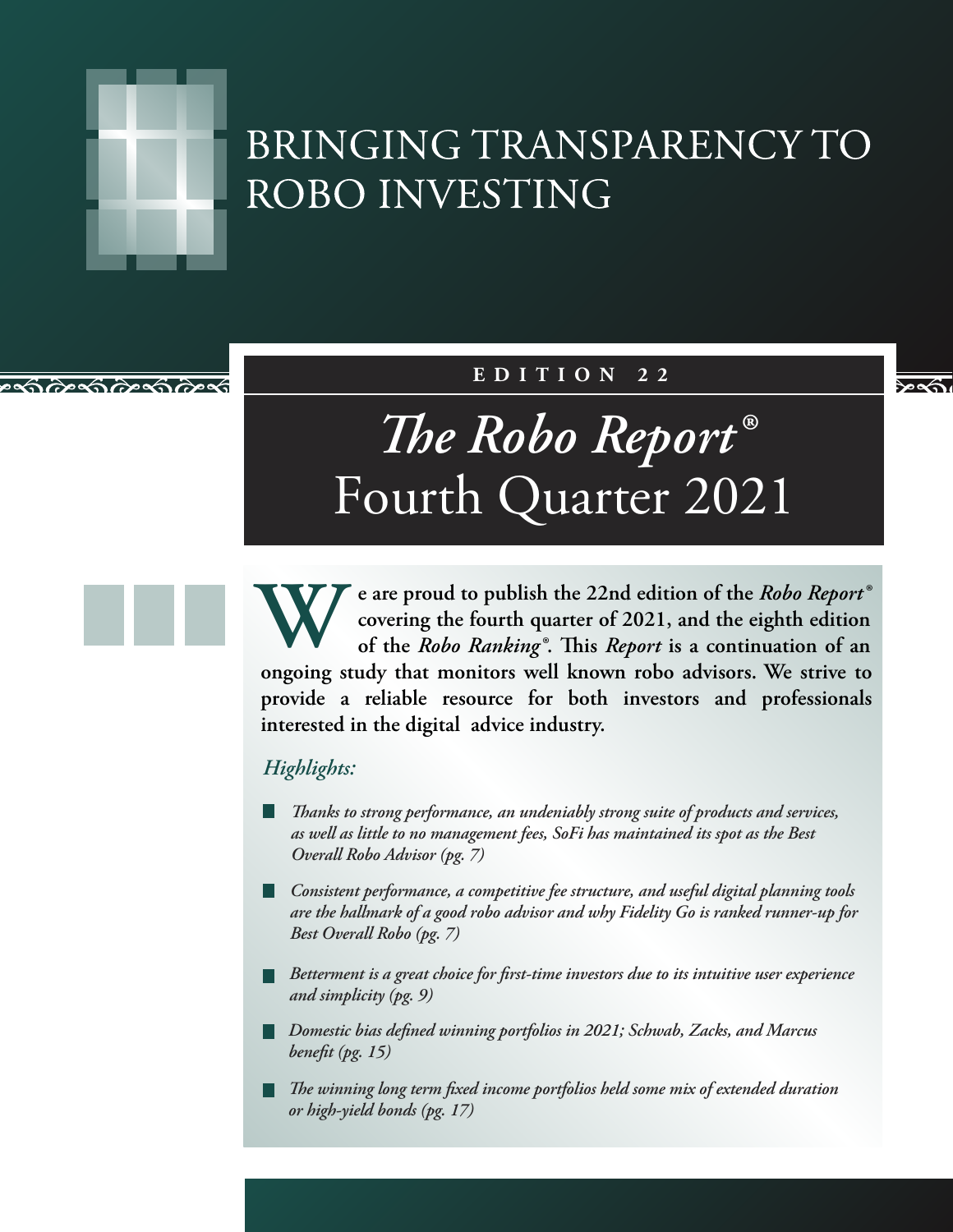

# BRINGING TRANSPARENCY TO ROBO INVESTING

#### **EDITION 22**

# *e Robo Report®* Fourth Quarter 2021

**e are proud to publish the 22nd edition of the** *Robo Report®*  **covering the fourth quarter of 2021, and the eighth edition Wof the** *Robo Ranking®***. is** *Report* **is a continuation of an ongoing study that monitors well known robo advisors. We strive to provide a reliable resource for both investors and professionals interested in the digital advice industry.**

## *Highlights:*

- *[anks to strong performance, an undeniably strong suite of products and services,](#page-6-0) as well as little to no management fees, SoFi has maintained its spot as the Best Overall Robo Advisor (pg. 7)*
- *Consistent performance, a competitive fee structure, and useful digital planning tools [are the hallmark of a good robo advisor and why Fidelity Go is ranked runner-up for](#page-6-0) Best Overall Robo (pg. 7)*
- *[Betterment is a great choice for first-time investors due to its intuitive user experience](#page-8-0) and simplicity (pg. 9)*
- *[Domestic bias defined winning portfolios in 2021; Schwab, Zacks, and Marcus](#page-14-0) benefit (pg. 15)*
- *[e winning long term fixed income portfolios held some mix of extended duration](#page-16-0) or high-yield bonds (pg. 17)*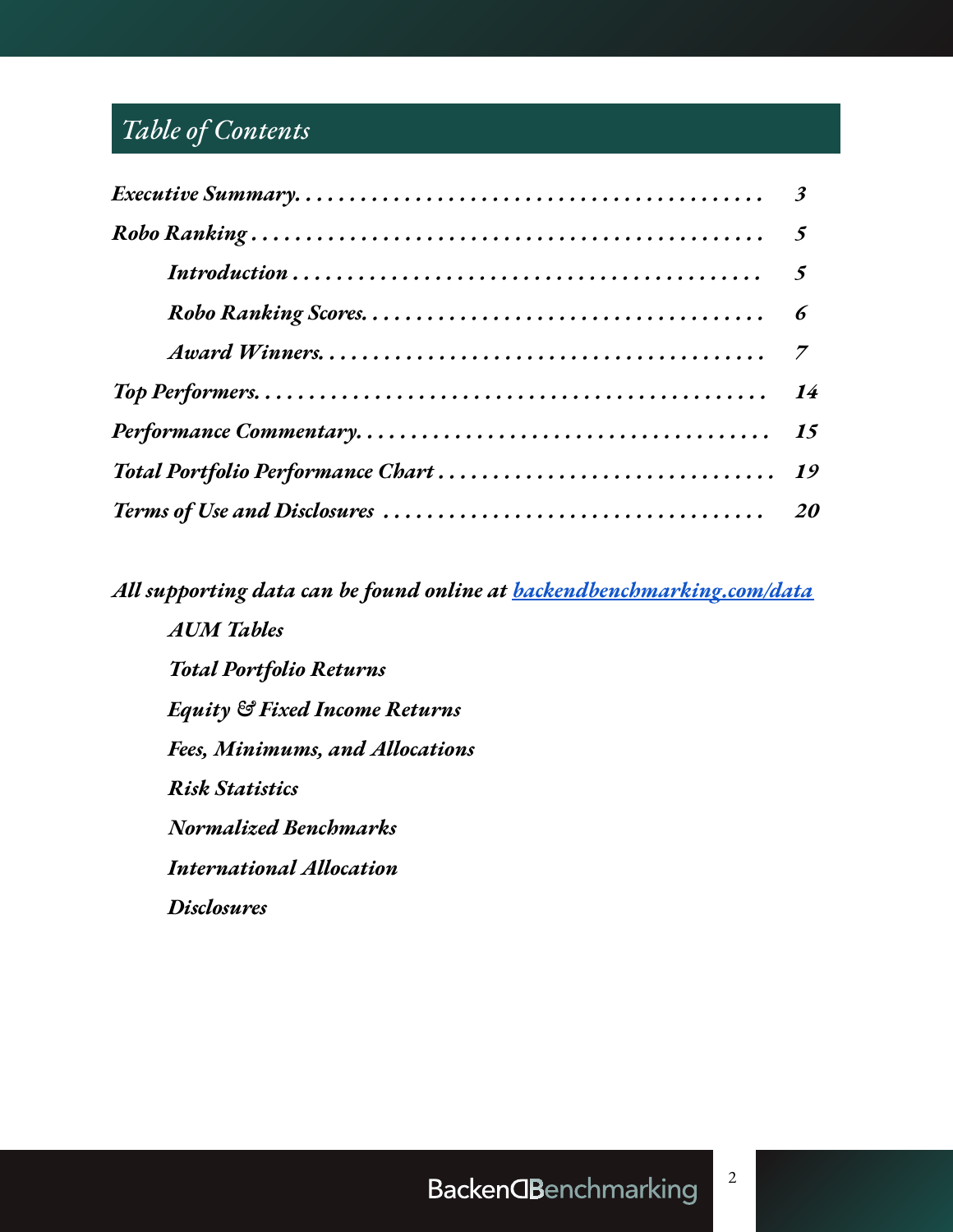## *Table of Contents*

| Total Portfolio Performance Chart  19 |  |
|---------------------------------------|--|
|                                       |  |

*All supporting data can be found online at [backendbenchmarking.com/data](https://www.backendbenchmarking.com/data/) AUM Tables Total Portfolio Returns Equity & Fixed Income Returns Fees, Minimums, and Allocations Risk Statistics Normalized Benchmarks International Allocation Disclosures*

## **Backen**OBenchmarking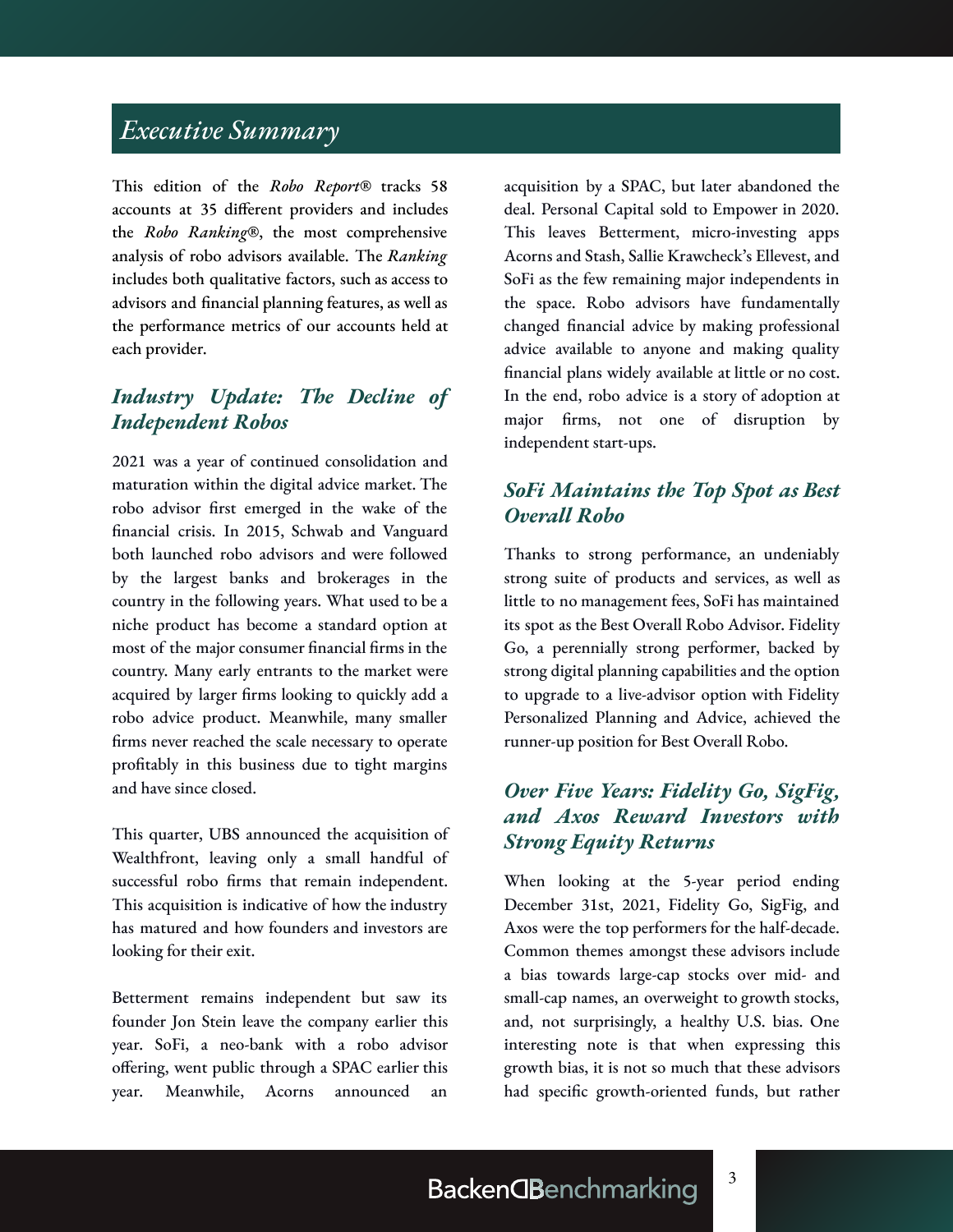## <span id="page-2-0"></span>*Executive Summary*

This edition of the *Robo Report*® tracks 58 accounts at 35 different providers and includes the *Robo Ranking*®, the most comprehensive analysis of robo advisors available. The *Ranking* includes both qualitative factors, such as access to advisors and financial planning features, as well as the performance metrics of our accounts held at each provider.

### *Industry Update: The Decline of Independent Robos*

2021 was a year of continued consolidation and maturation within the digital advice market. The robo advisor first emerged in the wake of the financial crisis. In 2015, Schwab and Vanguard both launched robo advisors and were followed by the largest banks and brokerages in the country in the following years. What used to be a niche product has become a standard option at most of the major consumer financial firms in the country. Many early entrants to the market were acquired by larger firms looking to quickly add a robo advice product. Meanwhile, many smaller firms never reached the scale necessary to operate profitably in this business due to tight margins and have since closed.

This quarter, UBS announced the acquisition of Wealthfront, leaving only a small handful of successful robo firms that remain independent. This acquisition is indicative of how the industry has matured and how founders and investors are looking for their exit.

Betterment remains independent but saw its founder Jon Stein leave the company earlier this year. SoFi, a neo-bank with a robo advisor offering, went public through a SPAC earlier this year. Meanwhile, Acorns announced an

acquisition by a SPAC, but later abandoned the deal. Personal Capital sold to Empower in 2020. This leaves Betterment, micro-investing apps Acorns and Stash, Sallie Krawcheck's Ellevest, and SoFi as the few remaining major independents in the space. Robo advisors have fundamentally changed financial advice by making professional advice available to anyone and making quality financial plans widely available at little or no cost. In the end, robo advice is a story of adoption at major firms, not one of disruption by independent start-ups.

## *SoFi Maintains the Top Spot as Best Overall Robo*

Thanks to strong performance, an undeniably strong suite of products and services, as well as little to no management fees, SoFi has maintained its spot as the Best Overall Robo Advisor. Fidelity Go, a perennially strong performer, backed by strong digital planning capabilities and the option to upgrade to a live-advisor option with Fidelity Personalized Planning and Advice, achieved the runner-up position for Best Overall Robo.

## *Over Five Years: Fidelity Go, SigFig, and Axos Reward Investors with Strong Equity Returns*

When looking at the 5-year period ending December 31st, 2021, Fidelity Go, SigFig, and Axos were the top performers for the half-decade. Common themes amongst these advisors include a bias towards large-cap stocks over mid- and small-cap names, an overweight to growth stocks, and, not surprisingly, a healthy U.S. bias. One interesting note is that when expressing this growth bias, it is not so much that these advisors had specific growth-oriented funds, but rather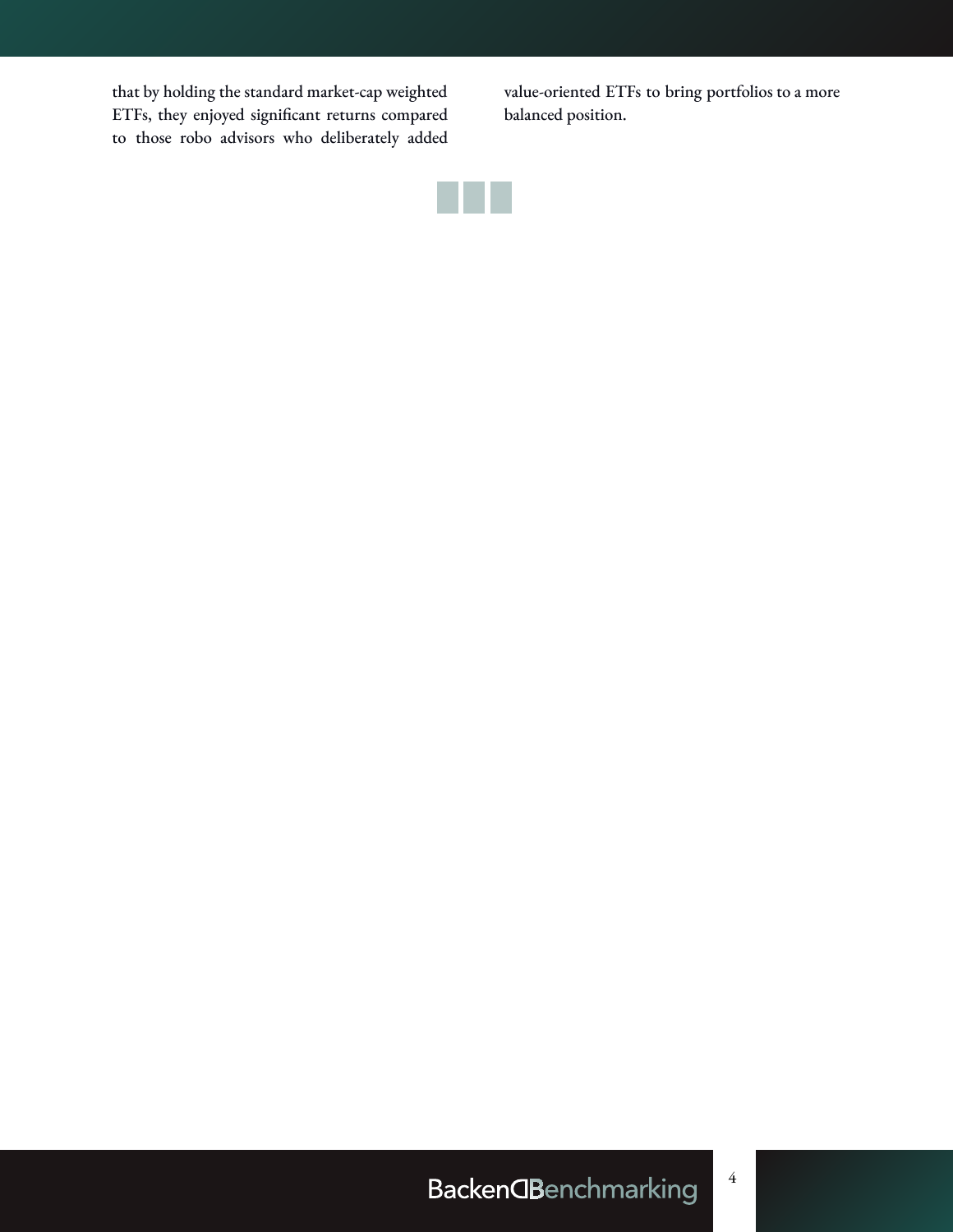that by holding the standard market-cap weighted ETFs, they enjoyed significant returns compared to those robo advisors who deliberately added value-oriented ETFs to bring portfolios to a more balanced position.

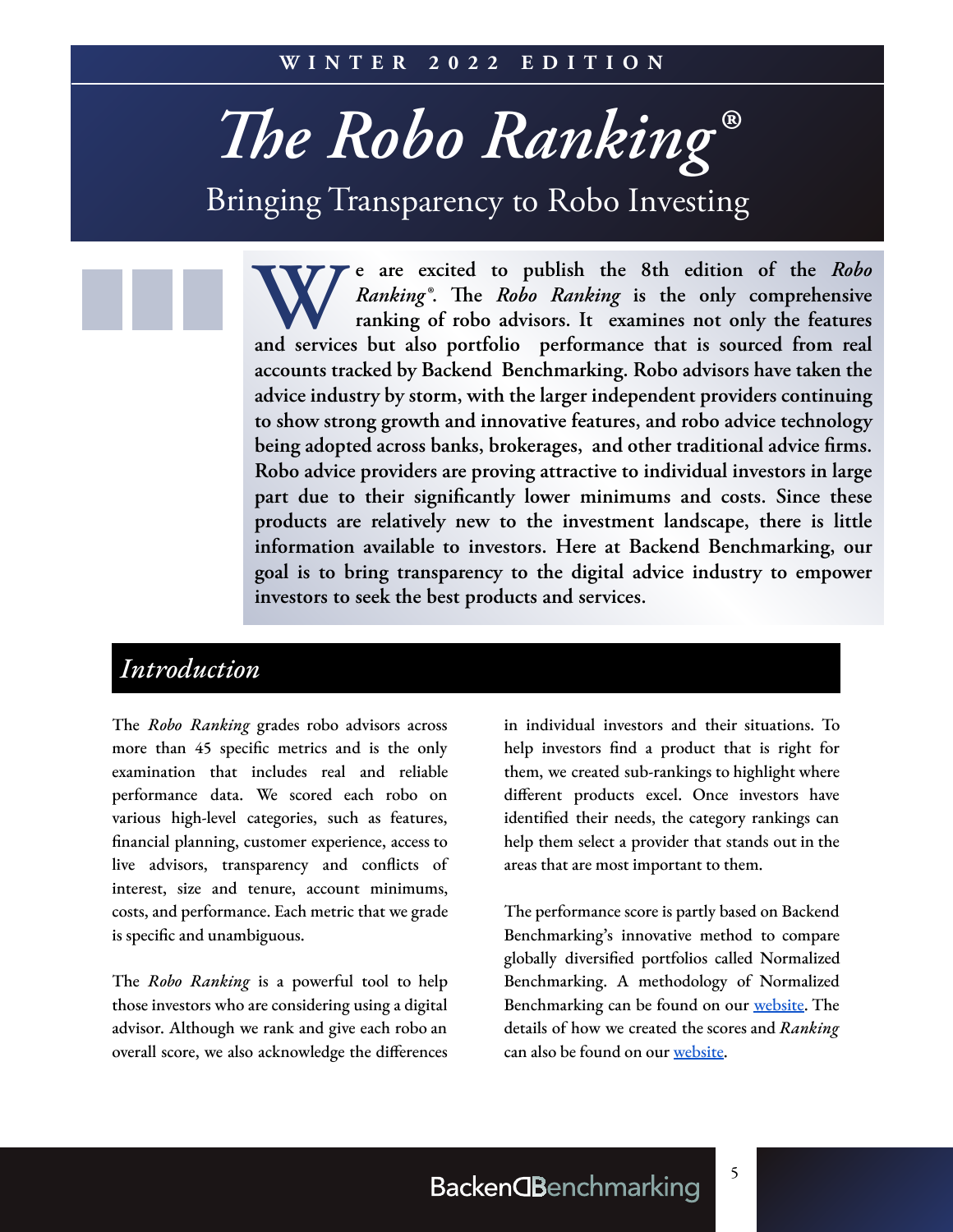# <span id="page-4-0"></span>Bringing Transparency to Robo Investing *e Robo Ranking®*

**WE** are excited to publish the 8th edition of the *Robo* Ranking<sup>®</sup>. The *Robo Ranking* is the only comprehensive ranking of robo advisors. It examines not only the features and services but also portfolio performance tha **accounts tracked by Backend Benchmarking. Robo advisors have taken the advice industry by storm, with the larger independent providers continuing to show strong growth and innovative features, and robo advice technology being adopted across banks, brokerages, and other traditional advice firms. Robo advice providers are proving attractive to individual investors in large part due to their significantly lower minimums and costs. Since these products are relatively new to the investment landscape, there is little information available to investors. Here at Backend Benchmarking, our goal is to bring transparency to the digital advice industry to empower investors to seek the best products and services. e are excited to publish the 8th edition of the** *Robo Ranking®*. The *Robo Ranking* is the only comprehensive **ranking of robo advisors. It examines not only the features** 

## <span id="page-4-1"></span>*Introduction*

The *Robo Ranking* grades robo advisors across more than 45 specific metrics and is the only examination that includes real and reliable performance data. We scored each robo on various high-level categories, such as features, financial planning, customer experience, access to live advisors, transparency and conflicts of interest, size and tenure, account minimums, costs, and performance. Each metric that we grade is specific and unambiguous.

The *Robo Ranking* is a powerful tool to help those investors who are considering using a digital advisor. Although we rank and give each robo an overall score, we also acknowledge the differences in individual investors and their situations. To help investors find a product that is right for them, we created sub-rankings to highlight where different products excel. Once investors have identified their needs, the category rankings can help them select a provider that stands out in the areas that are most important to them.

The performance score is partly based on Backend Benchmarking's innovative method to compare globally diversified portfolios called Normalized Benchmarking. A methodology of Normalized Benchmarking can be found on our [website.](https://www.backendbenchmarking.com/the-robo-report/normalized-benchmarking/) The details of how we created the scores and *Ranking* can also be found on our [website](https://www.backendbenchmarking.com/robo-ranking/).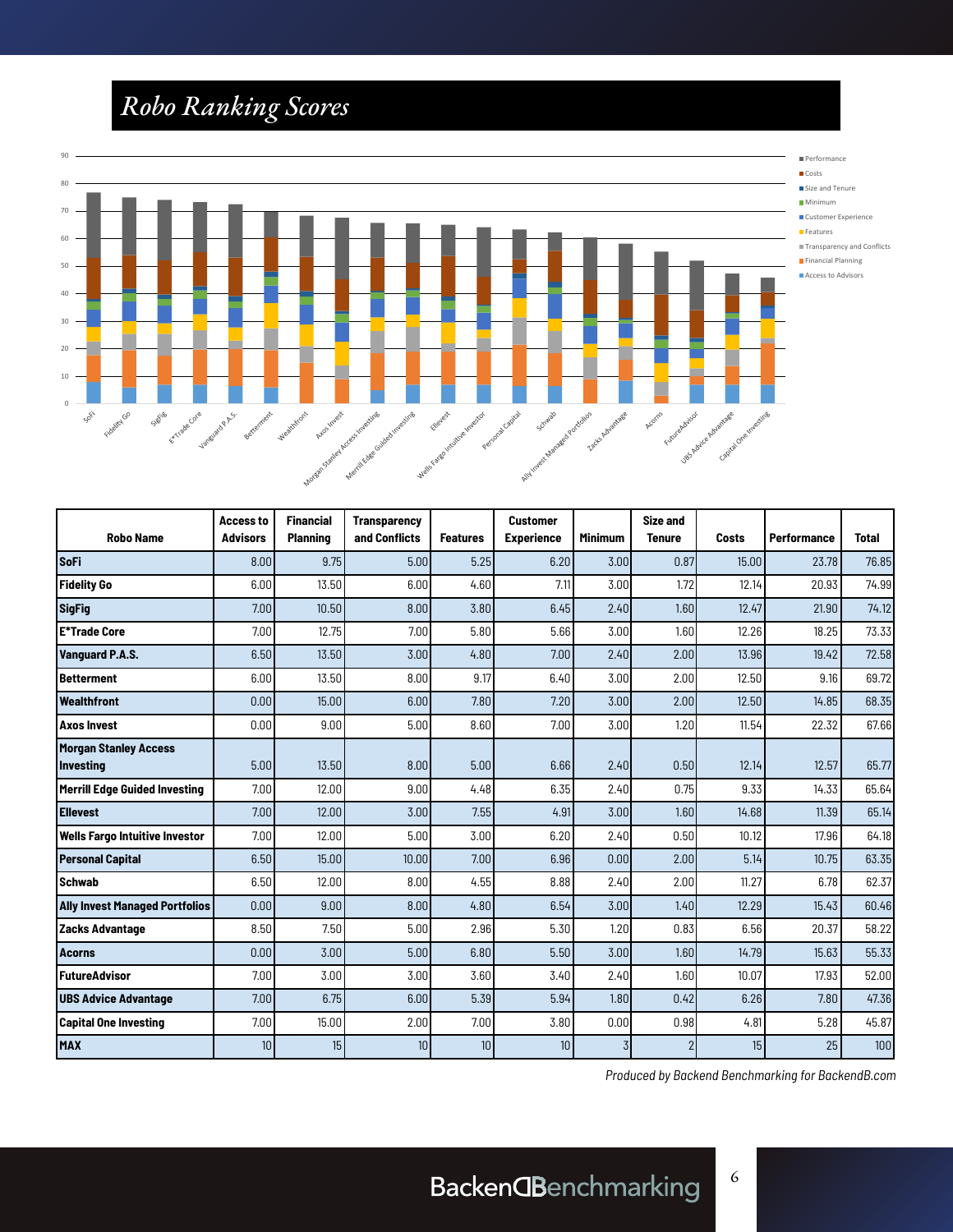# <span id="page-5-0"></span>*Robo Ranking Scores*



|                                           | <b>Access to</b> | <b>Financial</b> | <b>Transparency</b> |                 | <b>Customer</b>   |                | <b>Size and</b> |              |                    |              |
|-------------------------------------------|------------------|------------------|---------------------|-----------------|-------------------|----------------|-----------------|--------------|--------------------|--------------|
| <b>Robo Name</b>                          | <b>Advisors</b>  | <b>Planning</b>  | and Conflicts       | <b>Features</b> | <b>Experience</b> | <b>Minimum</b> | <b>Tenure</b>   | <b>Costs</b> | <b>Performance</b> | <b>Total</b> |
| <b>SoFi</b>                               | 8.00             | 9.75             | 5.00                | 5.25            | 6.20              | 3.00           | 0.87            | 15.00        | 23.78              | 76.85        |
| <b>Fidelity Go</b>                        | 6.00             | 13.50            | 6.00                | 4.60            | 7.11              | 3.00           | 1.72            | 12.14        | 20.93              | 74.99        |
| <b>SigFig</b>                             | 7.00             | 10.50            | 8.00                | 3.80            | 6.45              | 2.40           | 1.60            | 12.47        | 21.90              | 74.12        |
| <b>E*Trade Core</b>                       | 7.00             | 12.75            | 7.00                | 5.80            | 5.66              | 3.00           | 1.60            | 12.26        | 18.25              | 73.33        |
| Vanguard P.A.S.                           | 6.50             | 13.50            | 3.00                | 4.80            | 7.00              | 2.40           | 2.00            | 13.96        | 19.42              | 72.58        |
| <b>Betterment</b>                         | 6.00             | 13.50            | 8.00                | 9.17            | 6.40              | 3.00           | 2.00            | 12.50        | 9.16               | 69.72        |
| Wealthfront                               | 0.00             | 15.00            | 6.00                | 7.80            | 7.20              | 3.00           | 2.00            | 12.50        | 14.85              | 68.35        |
| <b>Axos Invest</b>                        | 0.00             | 9.00             | 5.00                | 8.60            | 7.00              | 3.00           | 1.20            | 11.54        | 22.32              | 67.66        |
| <b>Morgan Stanley Access</b><br>Investing | 5.00             | 13.50            | 8.00                | 5.00            | 6.66              | 2.40           | 0.50            | 12.14        | 12.57              | 65.77        |
| Merrill Edge Guided Investing             | 7.00             | 12.00            | 9.00                | 4.48            | 6.35              | 2.40           | 0.75            | 9.33         | 14.33              | 65.64        |
| <b>Ellevest</b>                           | 7.00             | 12.00            | 3.00                | 7.55            | 4.91              | 3.00           | 1.60            | 14.68        | 11.39              | 65.14        |
| <b>Wells Fargo Intuitive Investor</b>     | 7.00             | 12.00            | 5.00                | 3.00            | 6.20              | 2.40           | 0.50            | 10.12        | 17.96              | 64.18        |
| <b>Personal Capital</b>                   | 6.50             | 15.00            | 10.00               | 7.00            | 6.96              | 0.00           | 2.00            | 5.14         | 10.75              | 63.35        |
| <b>Schwab</b>                             | 6.50             | 12.00            | 8.00                | 4.55            | 8.88              | 2.40           | 2.00            | 11.27        | 6.78               | 62.37        |
| <b>Ally Invest Managed Portfolios</b>     | 0.00             | 9.00             | 8.00                | 4.80            | 6.54              | 3.00           | 1.40            | 12.29        | 15.43              | 60.46        |
| <b>Zacks Advantage</b>                    | 8.50             | 7.50             | 5.00                | 2.96            | 5.30              | 1.20           | 0.83            | 6.56         | 20.37              | 58.22        |
| <b>Acorns</b>                             | 0.00             | 3.00             | 5.00                | 6.80            | 5.50              | 3.00           | 1.60            | 14.79        | 15.63              | 55.33        |
| <b>FutureAdvisor</b>                      | 7.00             | 3.00             | 3.00                | 3.60            | 3.40              | 2.40           | 1.60            | 10.07        | 17.93              | 52.00        |
| <b>UBS Advice Advantage</b>               | 7.00             | 6.75             | 6.00                | 5.39            | 5.94              | 1.80           | 0.42            | 6.26         | 7.80               | 47.36        |
| <b>Capital One Investing</b>              | 7.00             | 15.00            | 2.00                | 7.00            | 3.80              | 0.00           | 0.98            | 4.81         | 5.28               | 45.87        |
| <b>MAX</b>                                | 10               | 15               | 10                  | 10              | 10                | 3              | $\overline{2}$  | 15           | 25                 | 100          |

*Produced by Backend Benchmarking for BackendB.com*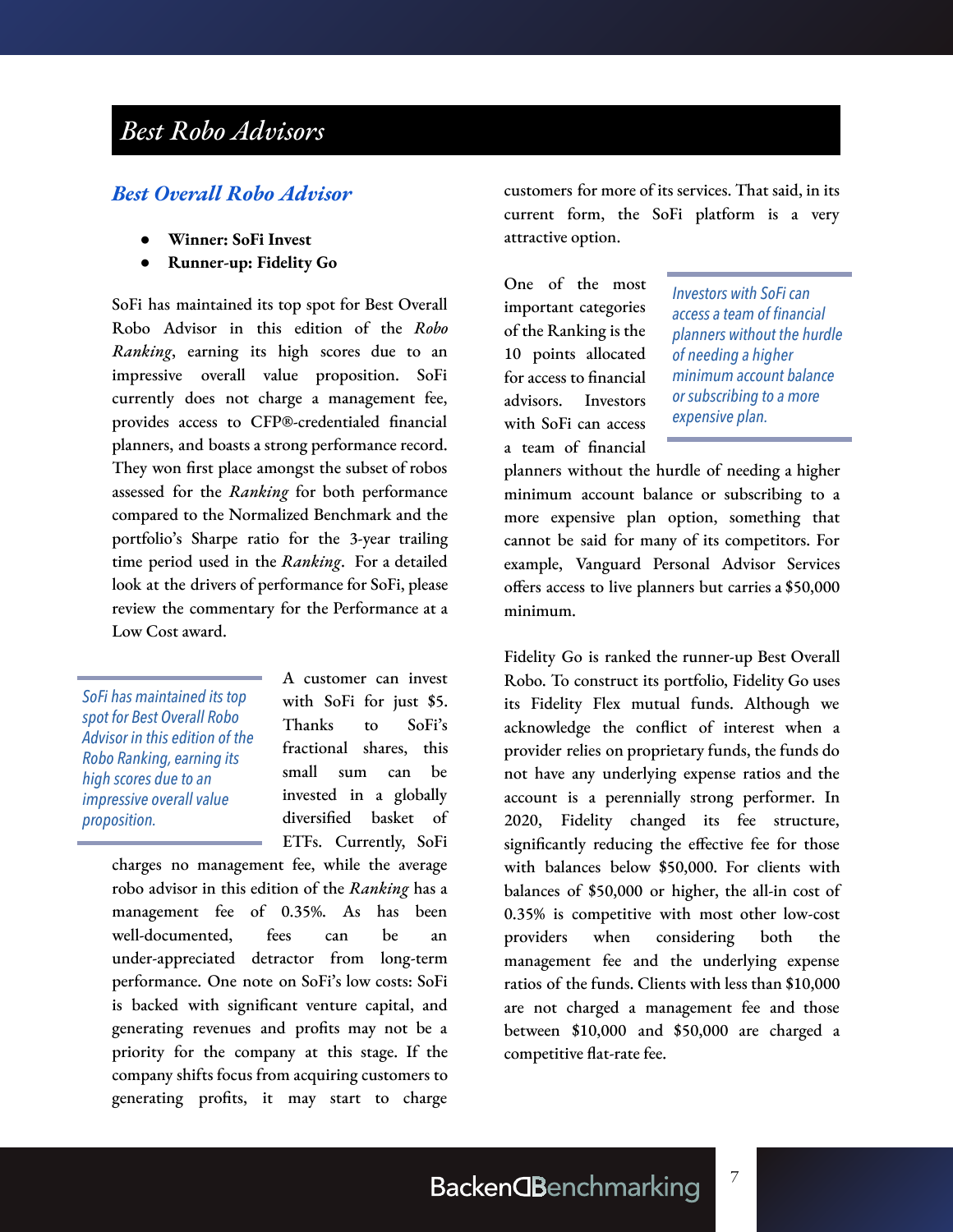## <span id="page-6-1"></span><span id="page-6-0"></span>*Best Robo Advisors*

#### *Best Overall Robo Advisor*

- **● Winner: SoFi Invest**
- **● Runner-up: Fidelity Go**

SoFi has maintained its top spot for Best Overall Robo Advisor in this edition of the *Robo Ranking*, earning its high scores due to an impressive overall value proposition. SoFi currently does not charge a management fee, provides access to CFP®-credentialed financial planners, and boasts a strong performance record. They won first place amongst the subset of robos assessed for the *Ranking* for both performance compared to the Normalized Benchmark and the portfolio's Sharpe ratio for the 3-year trailing time period used in the *Ranking*. For a detailed look at the drivers of performance for SoFi, please review the commentary for the Performance at a Low Cost award.

*SoFi has maintained its top spot for Best Overall Robo Advisor in this edition of the Robo Ranking, earning its high scores due to an impressive overall value proposition.*

A customer can invest with SoFi for just \$5. Thanks to SoFi's fractional shares, this small sum can be invested in a globally diversified basket of ETFs. Currently, SoFi

charges no management fee, while the average robo advisor in this edition of the *Ranking* has a management fee of 0.35%. As has been well-documented, fees can be an under-appreciated detractor from long-term performance. One note on SoFi's low costs: SoFi is backed with significant venture capital, and generating revenues and profits may not be a priority for the company at this stage. If the company shifts focus from acquiring customers to generating profits, it may start to charge

customers for more of its services. That said, in its current form, the SoFi platform is a very attractive option.

One of the most important categories of the Ranking is the 10 points allocated for access to financial advisors. Investors with SoFi can access a team of financial

*Investors with SoFi can access a team of financial planners without the hurdle of needing a higher minimum account balance or subscribing to a more expensive plan.*

planners without the hurdle of needing a higher minimum account balance or subscribing to a more expensive plan option, something that cannot be said for many of its competitors. For example, Vanguard Personal Advisor Services offers access to live planners but carries a \$50,000 minimum.

Fidelity Go is ranked the runner-up Best Overall Robo. To construct its portfolio, Fidelity Go uses its Fidelity Flex mutual funds. Although we acknowledge the conflict of interest when a provider relies on proprietary funds, the funds do not have any underlying expense ratios and the account is a perennially strong performer. In 2020, Fidelity changed its fee structure, significantly reducing the effective fee for those with balances below \$50,000. For clients with balances of \$50,000 or higher, the all-in cost of 0.35% is competitive with most other low-cost providers when considering both the management fee and the underlying expense ratios of the funds. Clients with less than \$10,000 are not charged a management fee and those between \$10,000 and \$50,000 are charged a competitive flat-rate fee.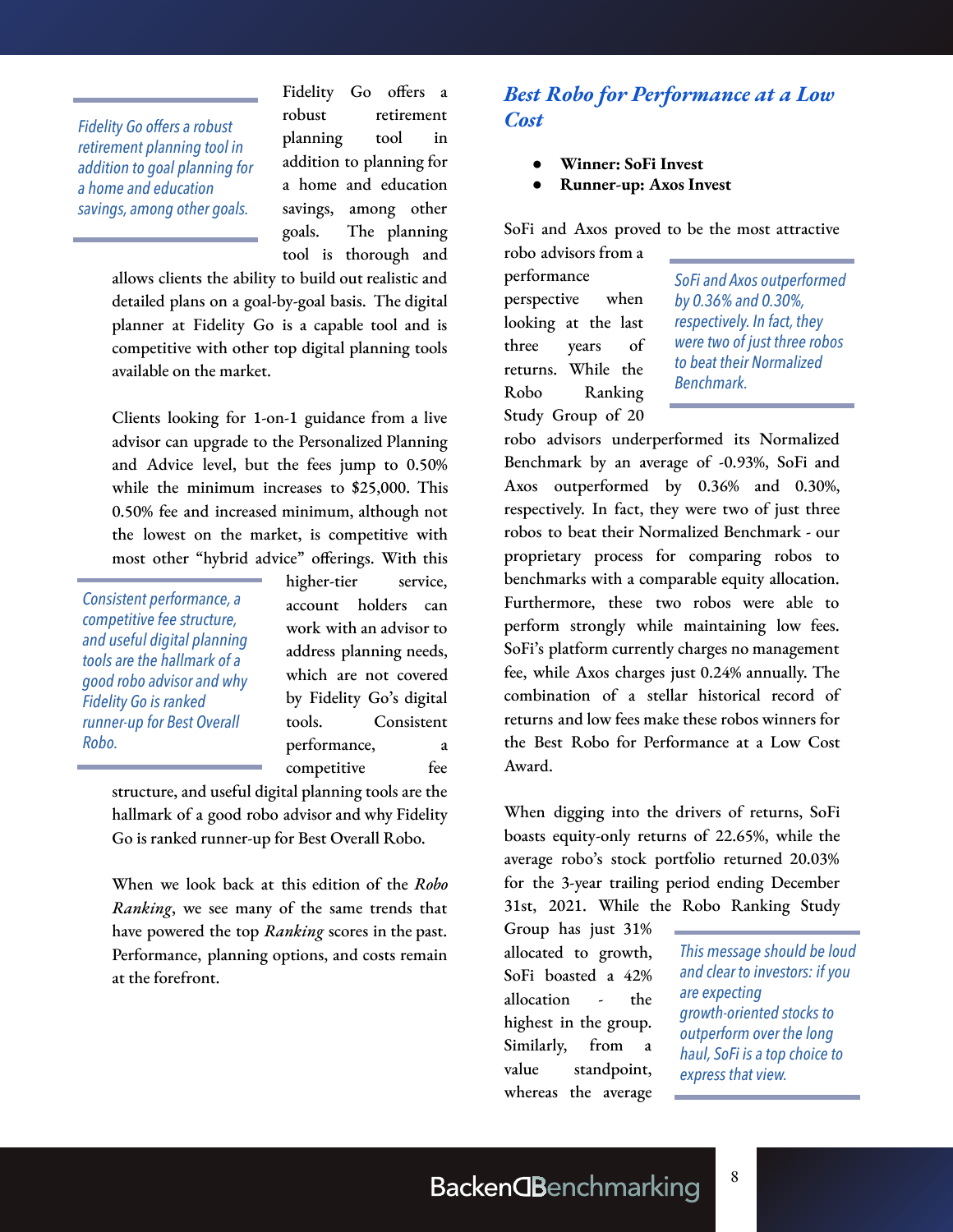*Fidelity Go offers a robust retirement planning tool in addition to goal planning for a home and education savings, among other goals.*

Fidelity Go offers a robust retirement planning tool in addition to planning for a home and education savings, among other goals. The planning tool is thorough and

allows clients the ability to build out realistic and detailed plans on a goal-by-goal basis. The digital planner at Fidelity Go is a capable tool and is competitive with other top digital planning tools available on the market.

Clients looking for 1-on-1 guidance from a live advisor can upgrade to the Personalized Planning and Advice level, but the fees jump to 0.50% while the minimum increases to \$25,000. This 0.50% fee and increased minimum, although not the lowest on the market, is competitive with most other "hybrid advice" offerings. With this

*Consistent performance, a competitive fee structure, and useful digital planning tools are the hallmark of a good robo advisor and why Fidelity Go is ranked runner-up for Best Overall Robo.*

higher-tier service, account holders can work with an advisor to address planning needs, which are not covered by Fidelity Go's digital tools. Consistent performance, a competitive fee

structure, and useful digital planning tools are the hallmark of a good robo advisor and why Fidelity Go is ranked runner-up for Best Overall Robo.

When we look back at this edition of the *Robo Ranking*, we see many of the same trends that have powered the top *Ranking* scores in the past. Performance, planning options, and costs remain at the forefront.

### *Best Robo for Performance at a Low Cost*

- **Winner: SoFi Invest**
- **Runner-up: Axos Invest**

SoFi and Axos proved to be the most attractive robo advisors from a

performance perspective when looking at the last three years of returns. While the Robo Ranking Study Group of 20

*SoFi and Axos outperformed by 0.36% and 0.30%, respectively. In fact, they were two of just three robos to beat their Normalized Benchmark.*

robo advisors underperformed its Normalized Benchmark by an average of -0.93%, SoFi and Axos outperformed by 0.36% and 0.30%, respectively. In fact, they were two of just three robos to beat their Normalized Benchmark - our proprietary process for comparing robos to benchmarks with a comparable equity allocation. Furthermore, these two robos were able to perform strongly while maintaining low fees. SoFi's platform currently charges no management fee, while Axos charges just 0.24% annually. The combination of a stellar historical record of returns and low fees make these robos winners for the Best Robo for Performance at a Low Cost Award.

When digging into the drivers of returns, SoFi boasts equity-only returns of 22.65%, while the average robo's stock portfolio returned 20.03% for the 3-year trailing period ending December 31st, 2021. While the Robo Ranking Study

Group has just 31% allocated to growth, SoFi boasted a 42% allocation - the highest in the group. Similarly, from a value standpoint, whereas the average

*This message should be loud and clear to investors: if you are expecting growth-oriented stocks to outperform over the long haul, SoFi is a top choice to express that view.*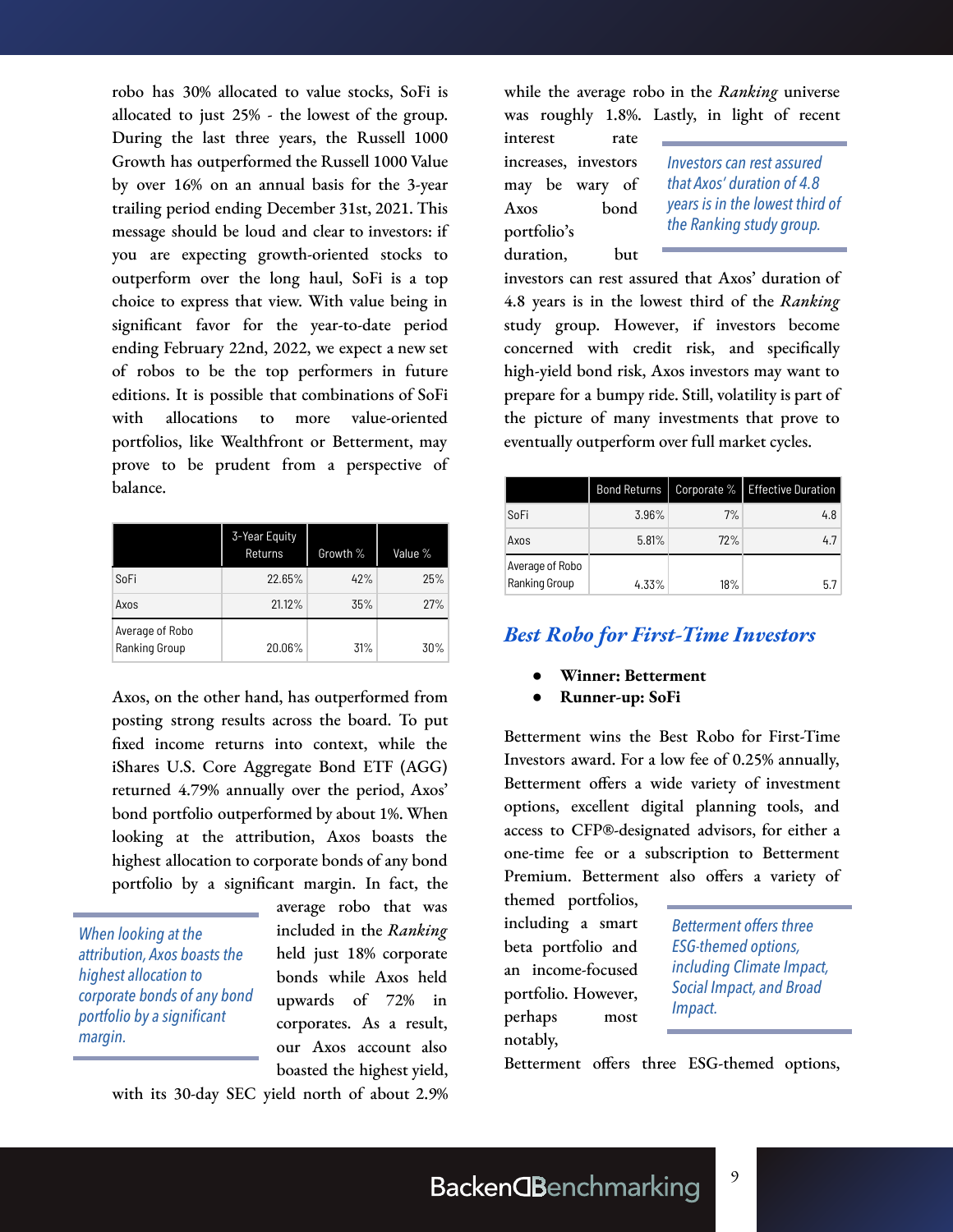<span id="page-8-0"></span>robo has 30% allocated to value stocks, SoFi is allocated to just 25% - the lowest of the group. During the last three years, the Russell 1000 Growth has outperformed the Russell 1000 Value by over 16% on an annual basis for the 3-year trailing period ending December 31st, 2021. This message should be loud and clear to investors: if you are expecting growth-oriented stocks to outperform over the long haul, SoFi is a top choice to express that view. With value being in significant favor for the year-to-date period ending February 22nd, 2022, we expect a new set of robos to be the top performers in future editions. It is possible that combinations of SoFi with allocations to more value-oriented portfolios, like Wealthfront or Betterment, may prove to be prudent from a perspective of balance.

|                                  | 3-Year Equity<br>Returns | Growth % | Value % |
|----------------------------------|--------------------------|----------|---------|
| SoFi                             | 22.65%                   | 42%      | 25%     |
| Axos                             | 21.12%                   | 35%      | 27%     |
| Average of Robo<br>Ranking Group | 20.06%                   | 31%      | 30%     |

Axos, on the other hand, has outperformed from posting strong results across the board. To put fixed income returns into context, while the iShares U.S. Core Aggregate Bond ETF (AGG) returned 4.79% annually over the period, Axos' bond portfolio outperformed by about 1%. When looking at the attribution, Axos boasts the highest allocation to corporate bonds of any bond portfolio by a significant margin. In fact, the

*When looking at the attribution, Axos boasts the highest allocation to corporate bonds of any bond portfolio by a significant margin.*

average robo that was included in the *Ranking* held just 18% corporate bonds while Axos held upwards of 72% in corporates. As a result, our Axos account also boasted the highest yield,

with its 30-day SEC yield north of about 2.9%

while the average robo in the *Ranking* universe was roughly 1.8%. Lastly, in light of recent

interest rate increases, investors may be wary of Axos bond portfolio's duration, but

*Investors can rest assured that Axos' duration of 4.8 years is in the lowest third of the Ranking study group.*

investors can rest assured that Axos' duration of 4.8 years is in the lowest third of the *Ranking* study group. However, if investors become concerned with credit risk, and specifically high-yield bond risk, Axos investors may want to prepare for a bumpy ride. Still, volatility is part of the picture of many investments that prove to eventually outperform over full market cycles.

|                                  | <b>Bond Returns</b> |     | Corporate %   Effective Duration |
|----------------------------------|---------------------|-----|----------------------------------|
| SoFi                             | 3.96%               | 7%  | 4.8                              |
| Axos                             | 5.81%               | 72% | 4.7                              |
| Average of Robo<br>Ranking Group | 4.33%               | 18% | 5.7                              |

#### *Best Robo for First-Time Investors*

- **● Winner: Betterment**
- **● Runner-up: SoFi**

Betterment wins the Best Robo for First-Time Investors award. For a low fee of 0.25% annually, Betterment offers a wide variety of investment options, excellent digital planning tools, and access to CFP®-designated advisors, for either a one-time fee or a subscription to Betterment Premium. Betterment also offers a variety of

themed portfolios, including a smart beta portfolio and an income-focused portfolio. However, perhaps most notably,

*Betterment offers three ESG-themed options, including Climate Impact, Social Impact, and Broad Impact.*

Betterment offers three ESG-themed options,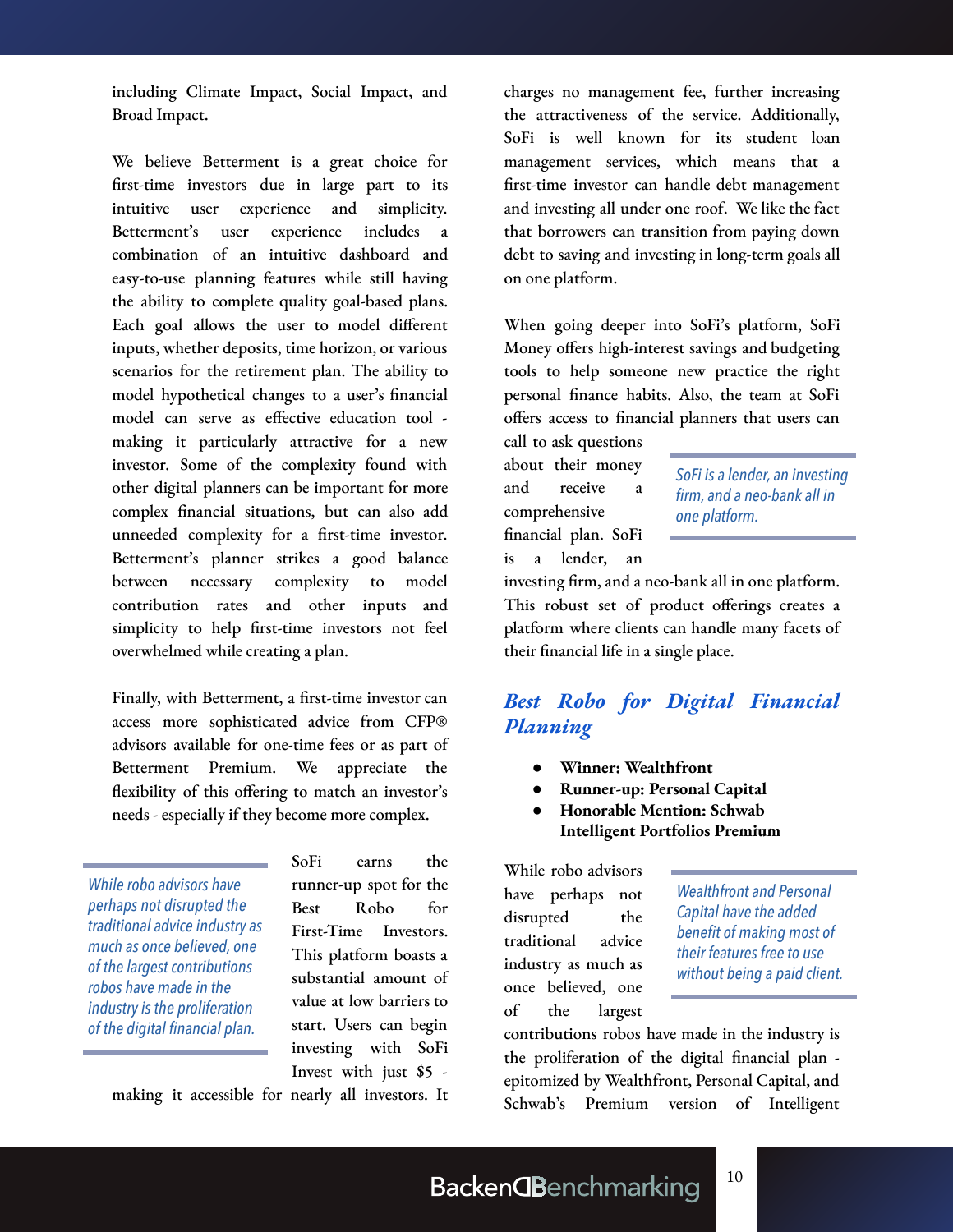including Climate Impact, Social Impact, and Broad Impact.

We believe Betterment is a great choice for first-time investors due in large part to its intuitive user experience and simplicity. Betterment's user experience includes a combination of an intuitive dashboard and easy-to-use planning features while still having the ability to complete quality goal-based plans. Each goal allows the user to model different inputs, whether deposits, time horizon, or various scenarios for the retirement plan. The ability to model hypothetical changes to a user's financial model can serve as effective education tool making it particularly attractive for a new investor. Some of the complexity found with other digital planners can be important for more complex financial situations, but can also add unneeded complexity for a first-time investor. Betterment's planner strikes a good balance between necessary complexity to model contribution rates and other inputs and simplicity to help first-time investors not feel overwhelmed while creating a plan.

Finally, with Betterment, a first-time investor can access more sophisticated advice from CFP® advisors available for one-time fees or as part of Betterment Premium. We appreciate the flexibility of this offering to match an investor's needs - especially if they become more complex.

*While robo advisors have perhaps not disrupted the traditional advice industry as much as once believed, one of the largest contributions robos have made in the industry is the proliferation of the digital financial plan.*

SoFi earns the runner-up spot for the Best Robo for First-Time Investors. This platform boasts a substantial amount of value at low barriers to start. Users can begin investing with SoFi Invest with just \$5 -

making it accessible for nearly all investors. It

charges no management fee, further increasing the attractiveness of the service. Additionally, SoFi is well known for its student loan management services, which means that a first-time investor can handle debt management and investing all under one roof. We like the fact that borrowers can transition from paying down debt to saving and investing in long-term goals all on one platform.

When going deeper into SoFi's platform, SoFi Money offers high-interest savings and budgeting tools to help someone new practice the right personal finance habits. Also, the team at SoFi offers access to financial planners that users can

call to ask questions about their money and receive a comprehensive financial plan. SoFi is a lender, an

*SoFi is a lender, an investing firm, and a neo-bank all in one platform.*

investing firm, and a neo-bank all in one platform. This robust set of product offerings creates a platform where clients can handle many facets of their financial life in a single place.

## *Best Robo for Digital Financial Planning*

- **● Winner: Wealthfront**
- **● Runner-up: Personal Capital**
- **● Honorable Mention: Schwab Intelligent Portfolios Premium**

While robo advisors have perhaps not disrupted the traditional advice industry as much as once believed, one of the largest

*Wealthfront and Personal Capital have the added benefit of making most of their features free to use without being a paid client.*

contributions robos have made in the industry is the proliferation of the digital financial plan epitomized by Wealthfront, Personal Capital, and Schwab's Premium version of Intelligent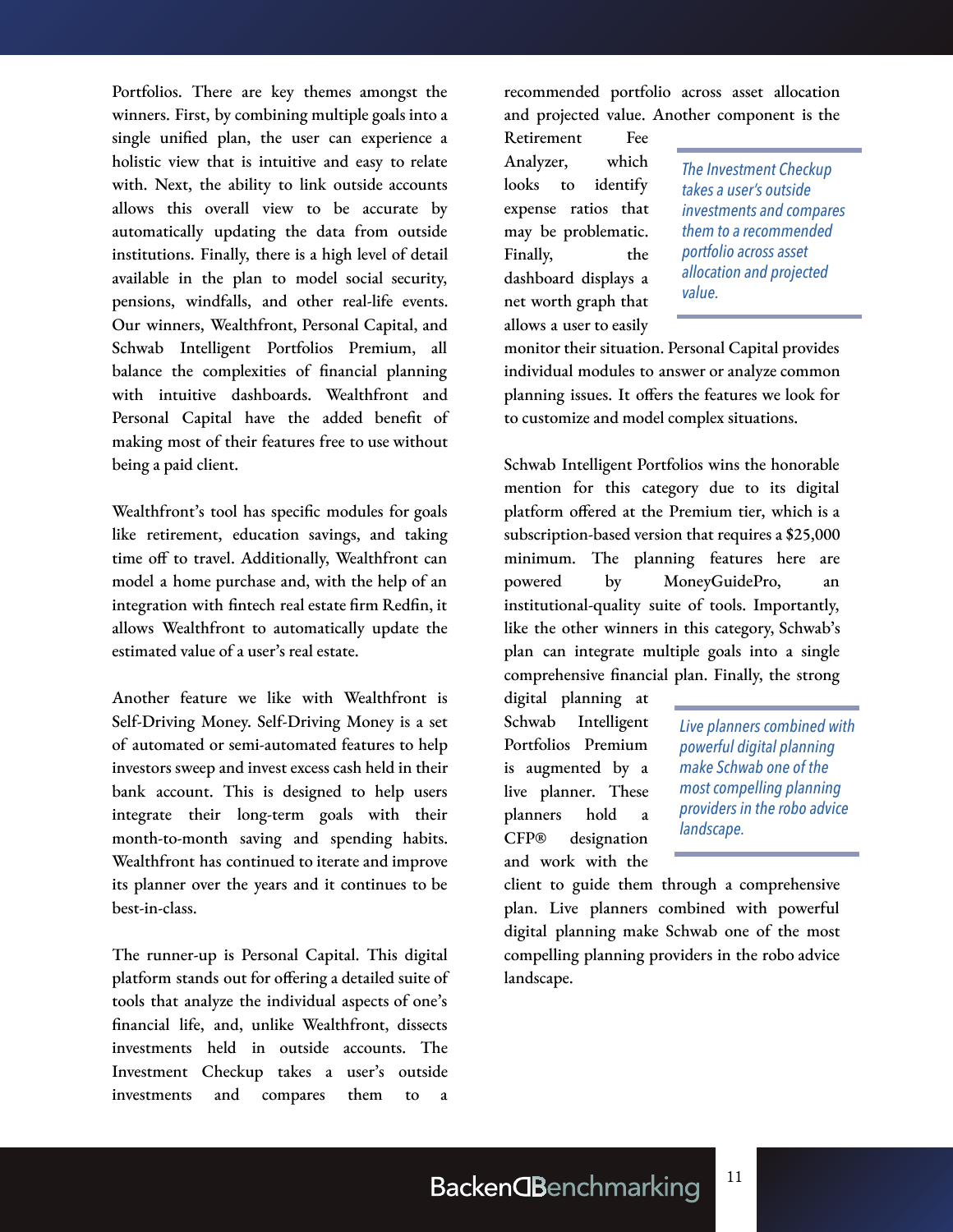Portfolios. There are key themes amongst the winners. First, by combining multiple goals into a single unified plan, the user can experience a holistic view that is intuitive and easy to relate with. Next, the ability to link outside accounts allows this overall view to be accurate by automatically updating the data from outside institutions. Finally, there is a high level of detail available in the plan to model social security, pensions, windfalls, and other real-life events. Our winners, Wealthfront, Personal Capital, and Schwab Intelligent Portfolios Premium, all balance the complexities of financial planning with intuitive dashboards. Wealthfront and Personal Capital have the added benefit of making most of their features free to use without being a paid client.

Wealthfront's tool has specific modules for goals like retirement, education savings, and taking time off to travel. Additionally, Wealthfront can model a home purchase and, with the help of an integration with fintech real estate firm Redfin, it allows Wealthfront to automatically update the estimated value of a user's real estate.

Another feature we like with Wealthfront is Self-Driving Money. Self-Driving Money is a set of automated or semi-automated features to help investors sweep and invest excess cash held in their bank account. This is designed to help users integrate their long-term goals with their month-to-month saving and spending habits. Wealthfront has continued to iterate and improve its planner over the years and it continues to be best-in-class.

The runner-up is Personal Capital. This digital platform stands out for offering a detailed suite of tools that analyze the individual aspects of one's financial life, and, unlike Wealthfront, dissects investments held in outside accounts. The Investment Checkup takes a user's outside investments and compares them to a

recommended portfolio across asset allocation and projected value. Another component is the

Retirement Fee Analyzer, which looks to identify expense ratios that may be problematic. Finally, the dashboard displays a net worth graph that allows a user to easily

*The Investment Checkup takes a user's outside investments and compares them to a recommended portfolio across asset allocation and projected value.*

monitor their situation. Personal Capital provides individual modules to answer or analyze common planning issues. It offers the features we look for to customize and model complex situations.

Schwab Intelligent Portfolios wins the honorable mention for this category due to its digital platform offered at the Premium tier, which is a subscription-based version that requires a \$25,000 minimum. The planning features here are powered by MoneyGuidePro, an institutional-quality suite of tools. Importantly, like the other winners in this category, Schwab's plan can integrate multiple goals into a single comprehensive financial plan. Finally, the strong

digital planning at Schwab Intelligent Portfolios Premium is augmented by a live planner. These planners hold a CFP® designation and work with the

*Live planners combined with powerful digital planning make Schwab one of the most compelling planning providers in the robo advice landscape.*

client to guide them through a comprehensive plan. Live planners combined with powerful digital planning make Schwab one of the most compelling planning providers in the robo advice landscape.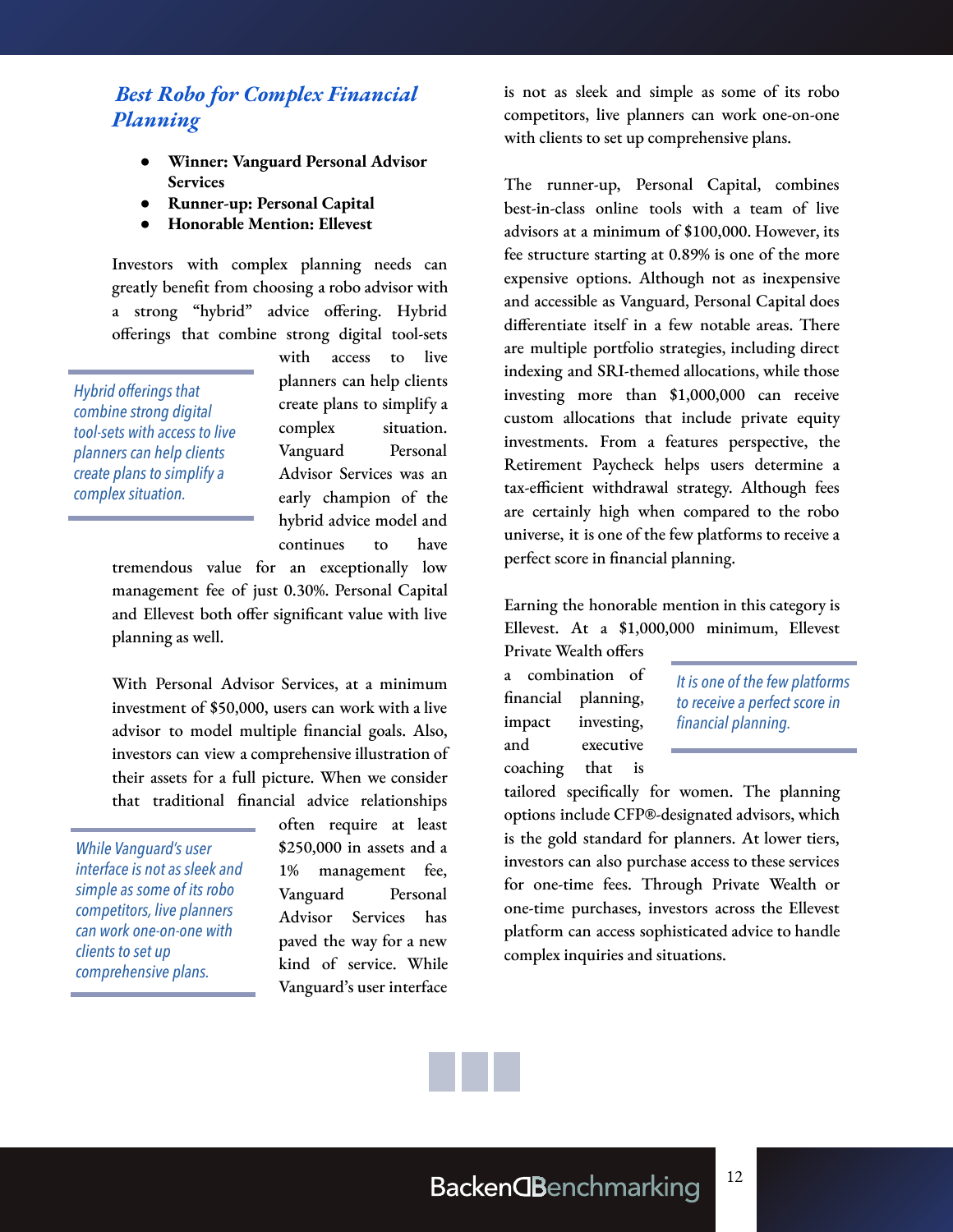## *Best Robo for Complex Financial Planning*

- **● Winner: Vanguard Personal Advisor Services**
- **● Runner-up: Personal Capital**
- **● Honorable Mention: Ellevest**

Investors with complex planning needs can greatly benefit from choosing a robo advisor with a strong "hybrid" advice offering. Hybrid offerings that combine strong digital tool-sets

*Hybrid offerings that combine strong digital tool-sets with access to live planners can help clients create plans to simplify a complex situation.*

with access to live planners can help clients create plans to simplify a complex situation. Vanguard Personal Advisor Services was an early champion of the hybrid advice model and continues to have

tremendous value for an exceptionally low management fee of just 0.30%. Personal Capital and Ellevest both offer significant value with live planning as well.

With Personal Advisor Services, at a minimum investment of \$50,000, users can work with a live advisor to model multiple financial goals. Also, investors can view a comprehensive illustration of their assets for a full picture. When we consider that traditional financial advice relationships

*While Vanguard's user interface is not as sleek and simple as some of its robo competitors, live planners can work one-on-one with clients to set up comprehensive plans.*

often require at least \$250,000 in assets and a 1% management fee, Vanguard Personal Advisor Services has paved the way for a new kind of service. While Vanguard's user interface is not as sleek and simple as some of its robo competitors, live planners can work one-on-one with clients to set up comprehensive plans.

The runner-up, Personal Capital, combines best-in-class online tools with a team of live advisors at a minimum of \$100,000. However, its fee structure starting at 0.89% is one of the more expensive options. Although not as inexpensive and accessible as Vanguard, Personal Capital does differentiate itself in a few notable areas. There are multiple portfolio strategies, including direct indexing and SRI-themed allocations, while those investing more than \$1,000,000 can receive custom allocations that include private equity investments. From a features perspective, the Retirement Paycheck helps users determine a tax-efficient withdrawal strategy. Although fees are certainly high when compared to the robo universe, it is one of the few platforms to receive a perfect score in financial planning.

Earning the honorable mention in this category is Ellevest. At a \$1,000,000 minimum, Ellevest

Private Wealth offers a combination of financial planning, impact investing, and executive coaching that is

*It is one of the few platforms to receive a perfect score in financial planning.* 

tailored specifically for women. The planning options include CFP®-designated advisors, which is the gold standard for planners. At lower tiers, investors can also purchase access to these services for one-time fees. Through Private Wealth or one-time purchases, investors across the Ellevest platform can access sophisticated advice to handle complex inquiries and situations.

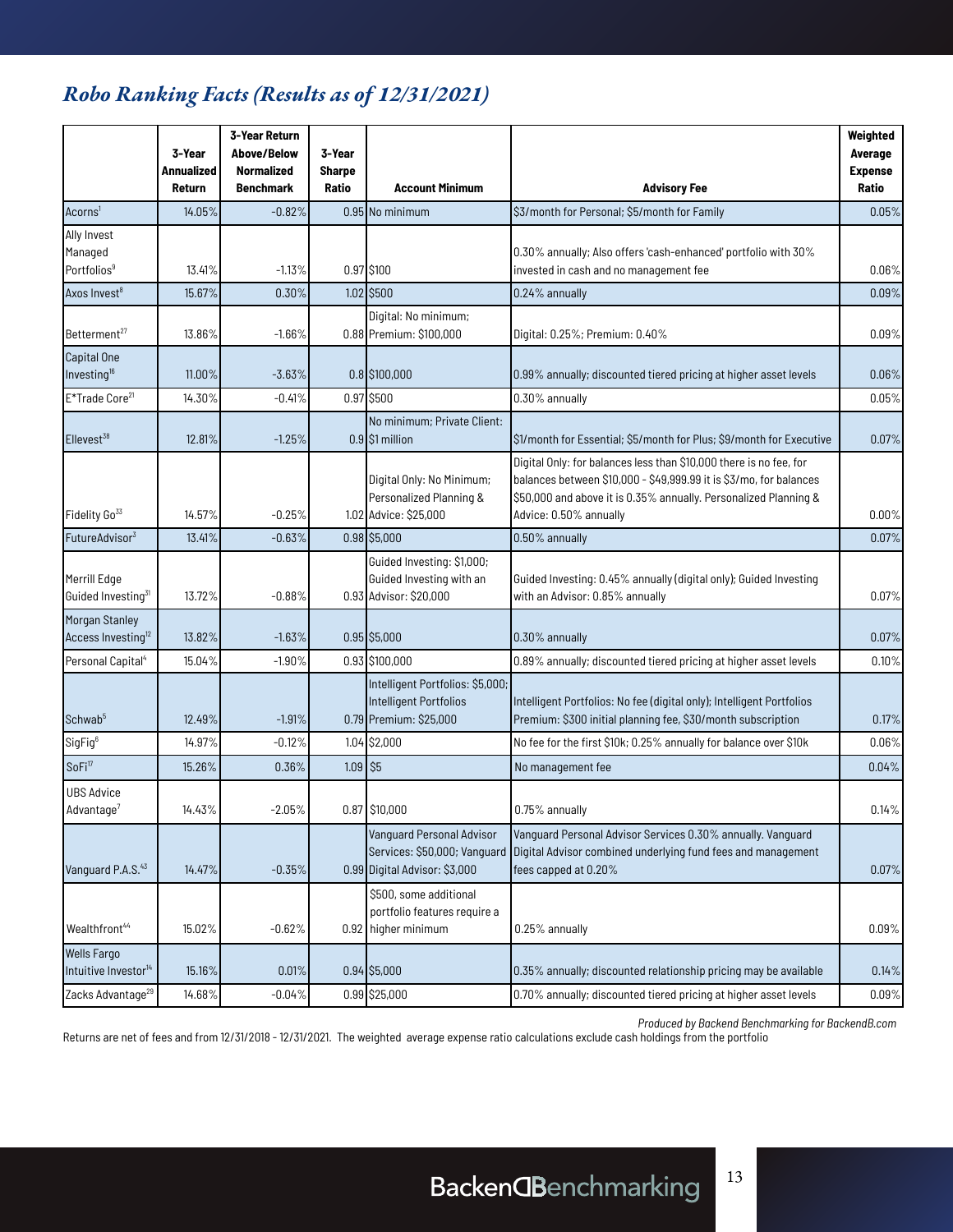## *Robo Ranking Facts (Results as of 12/31/2021)*

|                                                   | 3-Year<br>Annualized<br>Return | 3-Year Return<br><b>Above/Below</b><br><b>Normalized</b><br><b>Benchmark</b> | 3-Year<br><b>Sharpe</b><br>Ratio | <b>Account Minimum</b>                                                                     | <b>Advisory Fee</b>                                                                                                                                                                                                                    | Weighted<br>Average<br><b>Expense</b><br>Ratio |
|---------------------------------------------------|--------------------------------|------------------------------------------------------------------------------|----------------------------------|--------------------------------------------------------------------------------------------|----------------------------------------------------------------------------------------------------------------------------------------------------------------------------------------------------------------------------------------|------------------------------------------------|
| Acorns <sup>1</sup>                               | 14.05%                         | $-0.82%$                                                                     |                                  | 0.95 No minimum                                                                            | \$3/month for Personal; \$5/month for Family                                                                                                                                                                                           | 0.05%                                          |
| Ally Invest<br>Managed<br>Portfolios <sup>9</sup> | 13.41%                         | $-1.13%$                                                                     |                                  | $0.97$ \$100                                                                               | 0.30% annually; Also offers 'cash-enhanced' portfolio with 30%<br>invested in cash and no management fee                                                                                                                               | 0.06%                                          |
| Axos Invest <sup>8</sup>                          | 15.67%                         | 0.30%                                                                        |                                  | $1.02$ \$500                                                                               | 0.24% annually                                                                                                                                                                                                                         | 0.09%                                          |
| Betterment <sup>27</sup>                          | 13.86%                         | $-1.66%$                                                                     |                                  | Digital: No minimum;<br>0.88 Premium: \$100,000                                            | Digital: 0.25%; Premium: 0.40%                                                                                                                                                                                                         | 0.09%                                          |
| Capital One<br>Investing <sup>16</sup>            | 11.00%                         | $-3.63%$                                                                     |                                  | $0.8$ S100,000                                                                             | 0.99% annually; discounted tiered pricing at higher asset levels                                                                                                                                                                       | 0.06%                                          |
| E*Trade Core <sup>21</sup>                        | 14.30%                         | $-0.41%$                                                                     |                                  | 0.97 \$500                                                                                 | 0.30% annually                                                                                                                                                                                                                         | 0.05%                                          |
| Ellevest <sup>38</sup>                            | 12.81%                         | $-1.25%$                                                                     |                                  | No minimum; Private Client:<br>$0.9$ \$1 million                                           | \$1/month for Essential; \$5/month for Plus; \$9/month for Executive                                                                                                                                                                   | 0.07%                                          |
| Fidelity Go <sup>33</sup>                         | 14.57%                         | $-0.25%$                                                                     |                                  | Digital Only: No Minimum;<br>Personalized Planning &<br>1.02 Advice: \$25,000              | Digital Only: for balances less than \$10,000 there is no fee, for<br>balances between \$10,000 - \$49,999.99 it is \$3/mo, for balances<br>\$50,000 and above it is 0.35% annually. Personalized Planning &<br>Advice: 0.50% annually | 0.00%                                          |
| FutureAdvisor <sup>3</sup>                        | 13.41%                         | $-0.63%$                                                                     |                                  | $0.98$ \$5,000                                                                             | 0.50% annually                                                                                                                                                                                                                         | 0.07%                                          |
| Merrill Edge<br>Guided Investing31                | 13.72%                         | $-0.88%$                                                                     |                                  | Guided Investing: \$1,000;<br>Guided Investing with an<br>0.93 Advisor: \$20,000           | Guided Investing: 0.45% annually (digital only); Guided Investing<br>with an Advisor: 0.85% annually                                                                                                                                   | 0.07%                                          |
| Morgan Stanley<br>Access Investing <sup>12</sup>  | 13.82%                         | $-1.63%$                                                                     |                                  | 0.95 \$5,000                                                                               | 0.30% annually                                                                                                                                                                                                                         | 0.07%                                          |
| Personal Capital <sup>4</sup>                     | 15.04%                         | $-1.90%$                                                                     |                                  | 0.93 \$100,000                                                                             | 0.89% annually; discounted tiered pricing at higher asset levels                                                                                                                                                                       | 0.10%                                          |
| Schwab <sup>5</sup>                               | 12.49%                         | $-1.91%$                                                                     |                                  | Intelligent Portfolios: \$5,000;<br>Intelligent Portfolios<br>0.79 Premium: \$25,000       | Intelligent Portfolios: No fee (digital only); Intelligent Portfolios<br>Premium: \$300 initial planning fee, \$30/month subscription                                                                                                  | 0.17%                                          |
| SigFig <sup>6</sup>                               | 14.97%                         | $-0.12%$                                                                     |                                  | 1.04 \$2,000                                                                               | No fee for the first \$10k; 0.25% annually for balance over \$10k                                                                                                                                                                      | 0.06%                                          |
| SoFi <sup>17</sup>                                | 15.26%                         | 0.36%                                                                        | $1.09$ \$5                       |                                                                                            | No management fee                                                                                                                                                                                                                      | 0.04%                                          |
| <b>UBS Advice</b><br>Advantage <sup>7</sup>       | 14.43%                         | $-2.05%$                                                                     |                                  | 0.87 \$10,000                                                                              | 0.75% annually                                                                                                                                                                                                                         | 0.14%                                          |
| Vanguard P.A.S. <sup>43</sup>                     | 14.47%                         | $-0.35%$                                                                     |                                  | Vanguard Personal Advisor<br>Services: \$50,000; Vanguard<br>0.99 Digital Advisor: \$3,000 | Vanguard Personal Advisor Services 0.30% annually. Vanguard<br>Digital Advisor combined underlying fund fees and management<br>fees capped at 0.20%                                                                                    | 0.07%                                          |
| Wealthfront <sup>44</sup>                         | 15.02%                         | $-0.62%$                                                                     |                                  | \$500, some additional<br>portfolio features require a<br>0.92 higher minimum              | 0.25% annually                                                                                                                                                                                                                         | $0.09\%$                                       |
| Wells Fargo<br>Intuitive Investor <sup>14</sup>   | 15.16%                         | 0.01%                                                                        |                                  | 0.94 \$5,000                                                                               | 0.35% annually; discounted relationship pricing may be available                                                                                                                                                                       | 0.14%                                          |
| Zacks Advantage <sup>29</sup>                     | 14.68%                         | $-0.04%$                                                                     |                                  | 0.99 \$25,000                                                                              | 0.70% annually; discounted tiered pricing at higher asset levels                                                                                                                                                                       | 0.09%                                          |

*Produced by Backend Benchmarking for BackendB.com*

13

Returns are net of fees and from 12/31/2018 - 12/31/2021. The weighted average expense ratio calculations exclude cash holdings from the portfolio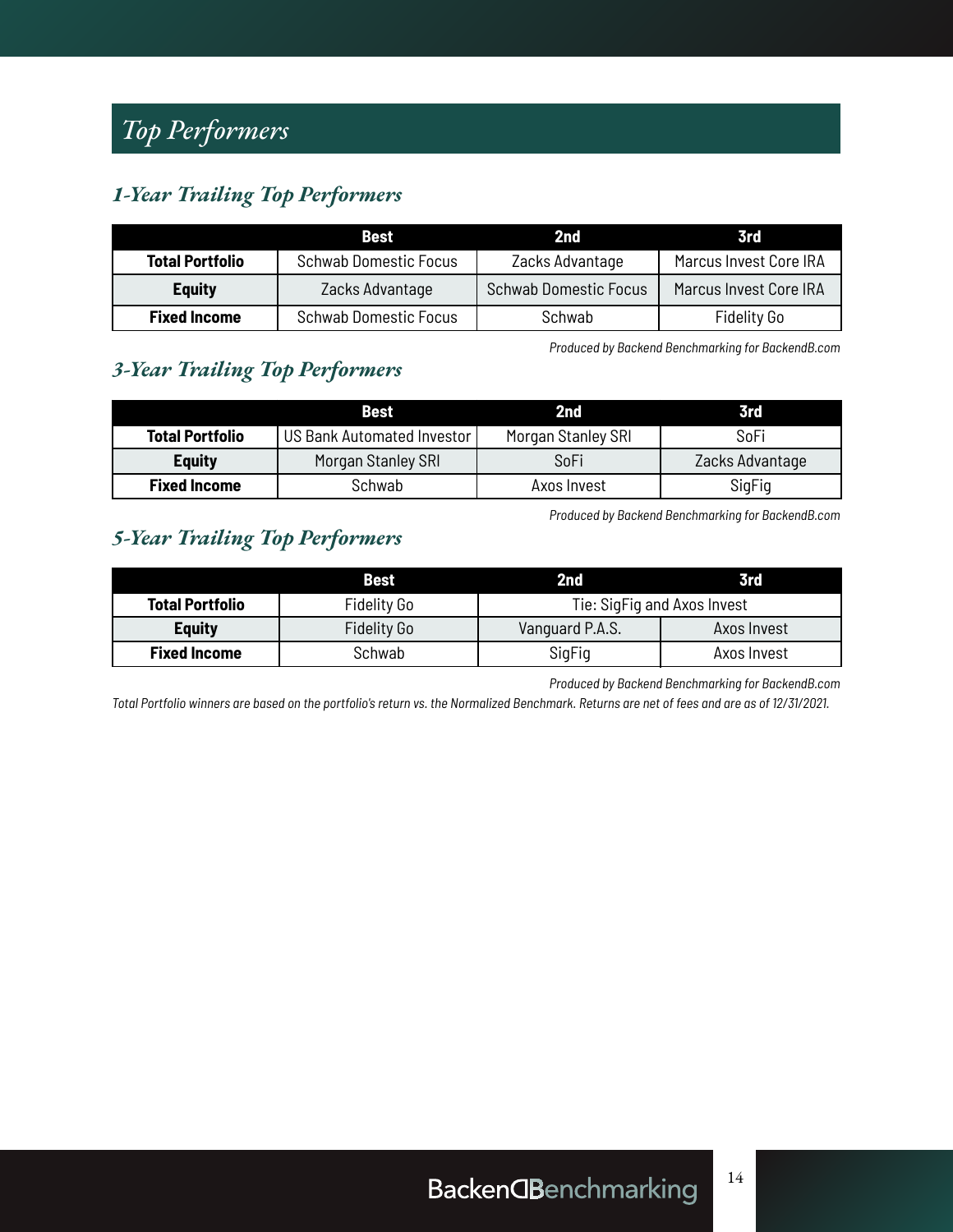## <span id="page-13-0"></span>*Top Performers*

## *1-Year Trailing Top Performers*

|                        | <b>Best</b>                  | 2nd                          | -37d                   |
|------------------------|------------------------------|------------------------------|------------------------|
| <b>Total Portfolio</b> | <b>Schwab Domestic Focus</b> | Zacks Advantage              | Marcus Invest Core IRA |
| <b>Equity</b>          | Zacks Advantage              | <b>Schwab Domestic Focus</b> | Marcus Invest Core IRA |
| <b>Fixed Income</b>    | <b>Schwab Domestic Focus</b> | Schwab                       | Fidelity Go            |

*Produced by Backend Benchmarking for BackendB.com*

## *3-Year Trailing Top Performers*

|                        | Best                       | 2nd                | 3rd             |
|------------------------|----------------------------|--------------------|-----------------|
| <b>Total Portfolio</b> | US Bank Automated Investor | Morgan Stanley SRI | SoFi            |
| <b>Equity</b>          | Morgan Stanley SRI         | SoFi               | Zacks Advantage |
| <b>Fixed Income</b>    | Schwab                     | Axos Invest        | SigFig          |

*Produced by Backend Benchmarking for BackendB.com*

## *5-Year Trailing Top Performers*

|                        | <b>Best</b>        | 2nd                         | 3rd         |  |
|------------------------|--------------------|-----------------------------|-------------|--|
| <b>Total Portfolio</b> | Fidelity Go        | Tie: SigFig and Axos Invest |             |  |
| <b>Equity</b>          | <b>Fidelity Go</b> | Vanguard P.A.S.             | Axos Invest |  |
| <b>Fixed Income</b>    | Schwab             | SigFig                      | Axos Invest |  |

*Produced by Backend Benchmarking for BackendB.com*

*Total Portfolio winners are based on the portfolio's return vs. the Normalized Benchmark. Returns are net of fees and are as of 12/31/2021.*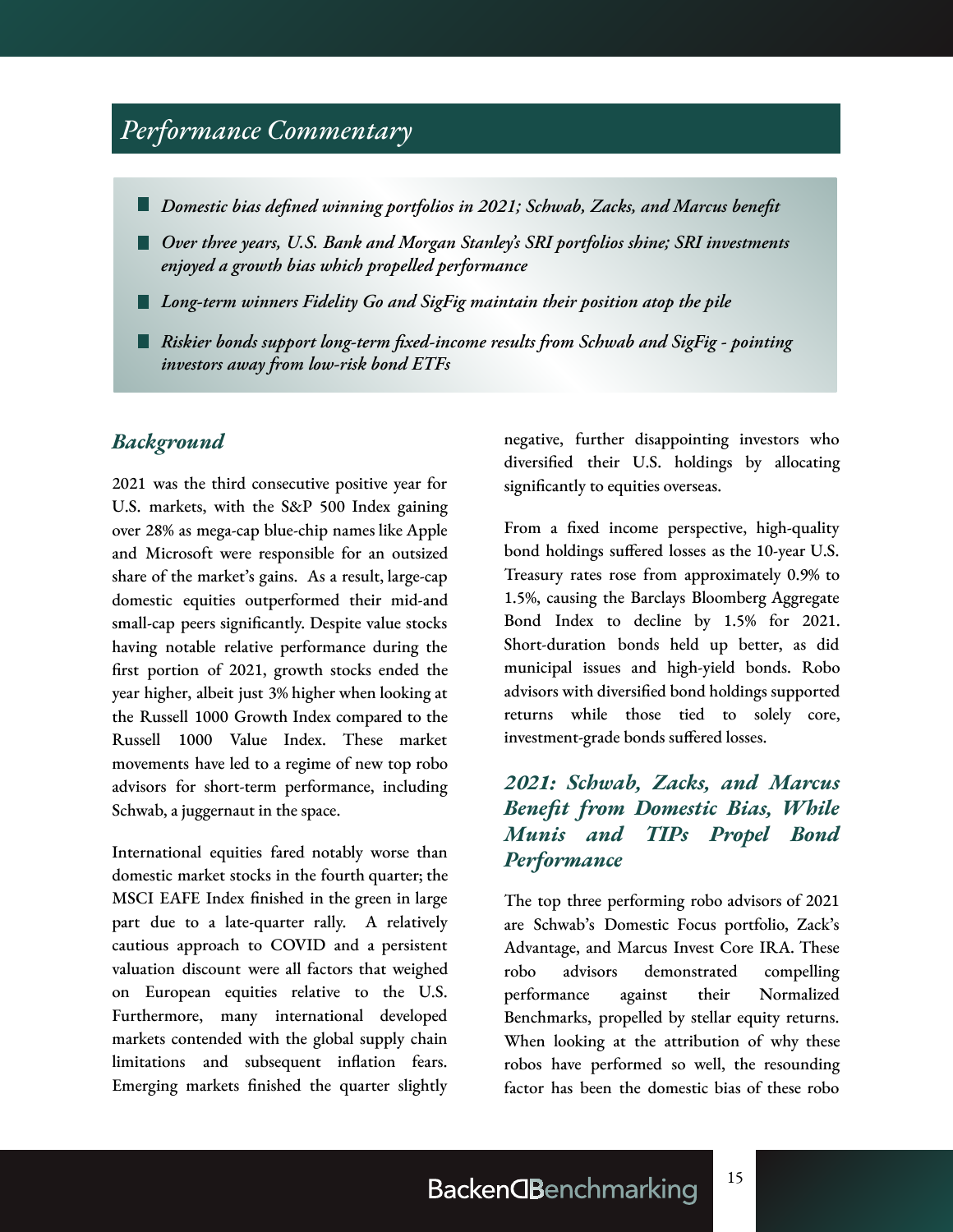## <span id="page-14-1"></span><span id="page-14-0"></span>*Performance Commentary*

- *Domestic bias defined winning portfolios in 2021; Schwab, Zacks, and Marcus benefit*
- *Over three years, U.S. Bank and Morgan Stanley's SRI portfolios shine; SRI investments enjoyed a growth bias which propelled performance*
- *Long-term winners Fidelity Go and SigFig maintain their position atop the pile*
- *Riskier bonds support long-term fixed-income results from Schwab and SigFig pointing investors away from low-risk bond ETFs*

#### *Background*

2021 was the third consecutive positive year for U.S. markets, with the S&P 500 Index gaining over 28% as mega-cap blue-chip names like Apple and Microsoft were responsible for an outsized share of the market's gains. As a result, large-cap domestic equities outperformed their mid-and small-cap peers significantly. Despite value stocks having notable relative performance during the first portion of 2021, growth stocks ended the year higher, albeit just 3% higher when looking at the Russell 1000 Growth Index compared to the Russell 1000 Value Index. These market movements have led to a regime of new top robo advisors for short-term performance, including Schwab, a juggernaut in the space.

International equities fared notably worse than domestic market stocks in the fourth quarter; the MSCI EAFE Index finished in the green in large part due to a late-quarter rally. A relatively cautious approach to COVID and a persistent valuation discount were all factors that weighed on European equities relative to the U.S. Furthermore, many international developed markets contended with the global supply chain limitations and subsequent inflation fears. Emerging markets finished the quarter slightly negative, further disappointing investors who diversified their U.S. holdings by allocating significantly to equities overseas.

From a fixed income perspective, high-quality bond holdings suffered losses as the 10-year U.S. Treasury rates rose from approximately 0.9% to 1.5%, causing the Barclays Bloomberg Aggregate Bond Index to decline by 1.5% for 2021. Short-duration bonds held up better, as did municipal issues and high-yield bonds. Robo advisors with diversified bond holdings supported returns while those tied to solely core, investment-grade bonds suffered losses.

## *2021: Schwab, Zacks, and Marcus Benefit from Domestic Bias, While Munis and TIPs Propel Bond Performance*

The top three performing robo advisors of 2021 are Schwab's Domestic Focus portfolio, Zack's Advantage, and Marcus Invest Core IRA. These robo advisors demonstrated compelling performance against their Normalized Benchmarks, propelled by stellar equity returns. When looking at the attribution of why these robos have performed so well, the resounding factor has been the domestic bias of these robo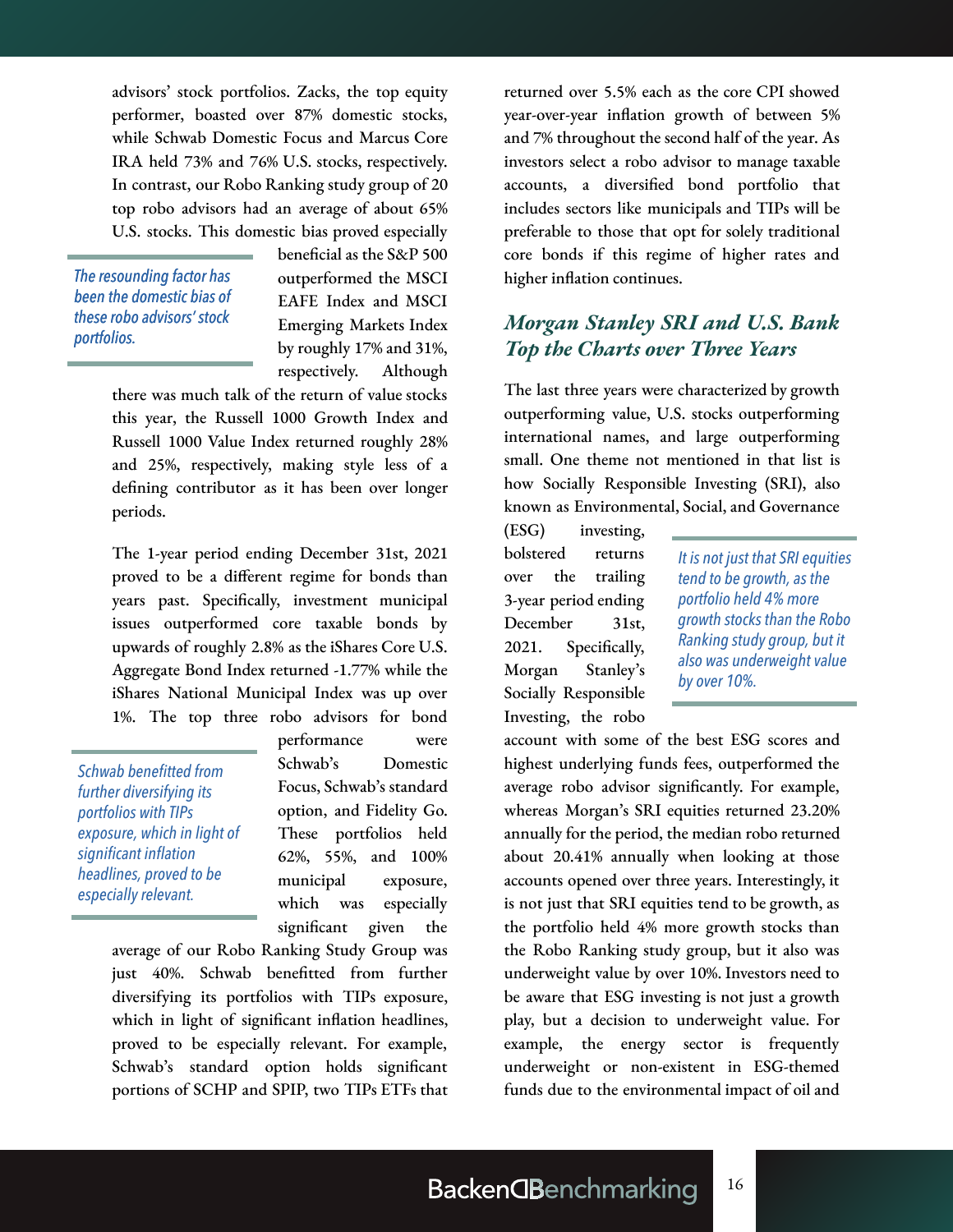advisors' stock portfolios. Zacks, the top equity performer, boasted over 87% domestic stocks, while Schwab Domestic Focus and Marcus Core IRA held 73% and 76% U.S. stocks, respectively. In contrast, our Robo Ranking study group of 20 top robo advisors had an average of about 65% U.S. stocks. This domestic bias proved especially

*The resounding factor has been the domestic bias of these robo advisors' stock portfolios.*

beneficial as the S&P 500 outperformed the MSCI EAFE Index and MSCI Emerging Markets Index by roughly 17% and 31%, respectively. Although

there was much talk of the return of value stocks this year, the Russell 1000 Growth Index and Russell 1000 Value Index returned roughly 28% and 25%, respectively, making style less of a defining contributor as it has been over longer periods.

The 1-year period ending December 31st, 2021 proved to be a different regime for bonds than years past. Specifically, investment municipal issues outperformed core taxable bonds by upwards of roughly 2.8% as the iShares Core U.S. Aggregate Bond Index returned -1.77% while the iShares National Municipal Index was up over 1%. The top three robo advisors for bond

*Schwab benefitted from further diversifying its portfolios with TIPs exposure, which in light of significant inflation headlines, proved to be especially relevant.*

performance were Schwab's Domestic Focus, Schwab's standard option, and Fidelity Go. These portfolios held 62%, 55%, and 100% municipal exposure, which was especially significant given the

average of our Robo Ranking Study Group was just 40%. Schwab benefitted from further diversifying its portfolios with TIPs exposure, which in light of significant inflation headlines, proved to be especially relevant. For example, Schwab's standard option holds significant portions of SCHP and SPIP, two TIPs ETFs that returned over 5.5% each as the core CPI showed year-over-year inflation growth of between 5% and 7% throughout the second half of the year. As investors select a robo advisor to manage taxable accounts, a diversified bond portfolio that includes sectors like municipals and TIPs will be preferable to those that opt for solely traditional core bonds if this regime of higher rates and higher inflation continues.

#### *Morgan Stanley SRI and U.S. Bank Top the Charts over Three Years*

The last three years were characterized by growth outperforming value, U.S. stocks outperforming international names, and large outperforming small. One theme not mentioned in that list is how Socially Responsible Investing (SRI), also known as Environmental, Social, and Governance

(ESG) investing, bolstered returns over the trailing 3-year period ending December 31st, 2021. Specifically, Morgan Stanley's Socially Responsible Investing, the robo

*It is not just that SRI equities tend to be growth, as the portfolio held 4% more growth stocks than the Robo Ranking study group, but it also was underweight value by over 10%.*

account with some of the best ESG scores and highest underlying funds fees, outperformed the average robo advisor significantly. For example, whereas Morgan's SRI equities returned 23.20% annually for the period, the median robo returned about 20.41% annually when looking at those accounts opened over three years. Interestingly, it is not just that SRI equities tend to be growth, as the portfolio held 4% more growth stocks than the Robo Ranking study group, but it also was underweight value by over 10%. Investors need to be aware that ESG investing is not just a growth play, but a decision to underweight value. For example, the energy sector is frequently underweight or non-existent in ESG-themed funds due to the environmental impact of oil and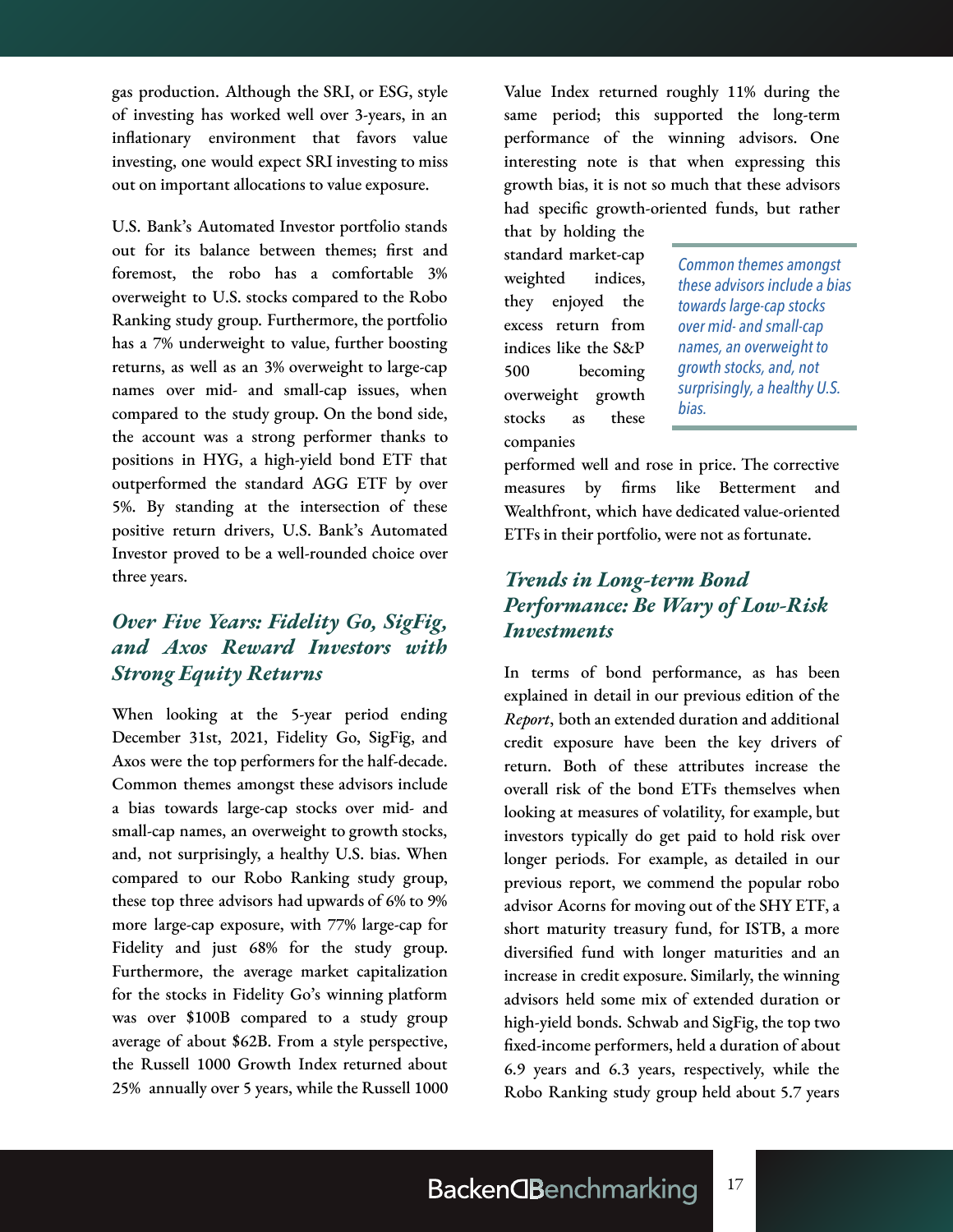<span id="page-16-0"></span>gas production. Although the SRI, or ESG, style of investing has worked well over 3-years, in an inflationary environment that favors value investing, one would expect SRI investing to miss out on important allocations to value exposure.

U.S. Bank's Automated Investor portfolio stands out for its balance between themes; first and foremost, the robo has a comfortable 3% overweight to U.S. stocks compared to the Robo Ranking study group. Furthermore, the portfolio has a 7% underweight to value, further boosting returns, as well as an 3% overweight to large-cap names over mid- and small-cap issues, when compared to the study group. On the bond side, the account was a strong performer thanks to positions in HYG, a high-yield bond ETF that outperformed the standard AGG ETF by over 5%. By standing at the intersection of these positive return drivers, U.S. Bank's Automated Investor proved to be a well-rounded choice over three years.

## *Over Five Years: Fidelity Go, SigFig, and Axos Reward Investors with Strong Equity Returns*

When looking at the 5-year period ending December 31st, 2021, Fidelity Go, SigFig, and Axos were the top performers for the half-decade. Common themes amongst these advisors include a bias towards large-cap stocks over mid- and small-cap names, an overweight to growth stocks, and, not surprisingly, a healthy U.S. bias. When compared to our Robo Ranking study group, these top three advisors had upwards of 6% to 9% more large-cap exposure, with 77% large-cap for Fidelity and just 68% for the study group. Furthermore, the average market capitalization for the stocks in Fidelity Go's winning platform was over \$100B compared to a study group average of about \$62B. From a style perspective, the Russell 1000 Growth Index returned about 25% annually over 5 years, while the Russell 1000 Value Index returned roughly 11% during the same period; this supported the long-term performance of the winning advisors. One interesting note is that when expressing this growth bias, it is not so much that these advisors had specific growth-oriented funds, but rather

that by holding the standard market-cap weighted indices, they enjoyed the excess return from indices like the S&P 500 becoming overweight growth stocks as these companies

*Common themes amongst these advisors include a bias towards large-cap stocks over mid- and small-cap names, an overweight to growth stocks, and, not surprisingly, a healthy U.S. bias.*

performed well and rose in price. The corrective measures by firms like Betterment and Wealthfront, which have dedicated value-oriented ETFs in their portfolio, were not as fortunate.

## *Trends in Long-term Bond Performance: Be Wary of Low-Risk Investments*

In terms of bond performance, as has been explained in detail in our previous edition of the *Report*, both an extended duration and additional credit exposure have been the key drivers of return. Both of these attributes increase the overall risk of the bond ETFs themselves when looking at measures of volatility, for example, but investors typically do get paid to hold risk over longer periods. For example, as detailed in our previous report, we commend the popular robo advisor Acorns for moving out of the SHY ETF, a short maturity treasury fund, for ISTB, a more diversified fund with longer maturities and an increase in credit exposure. Similarly, the winning advisors held some mix of extended duration or high-yield bonds. Schwab and SigFig, the top two fixed-income performers, held a duration of about 6.9 years and 6.3 years, respectively, while the Robo Ranking study group held about 5.7 years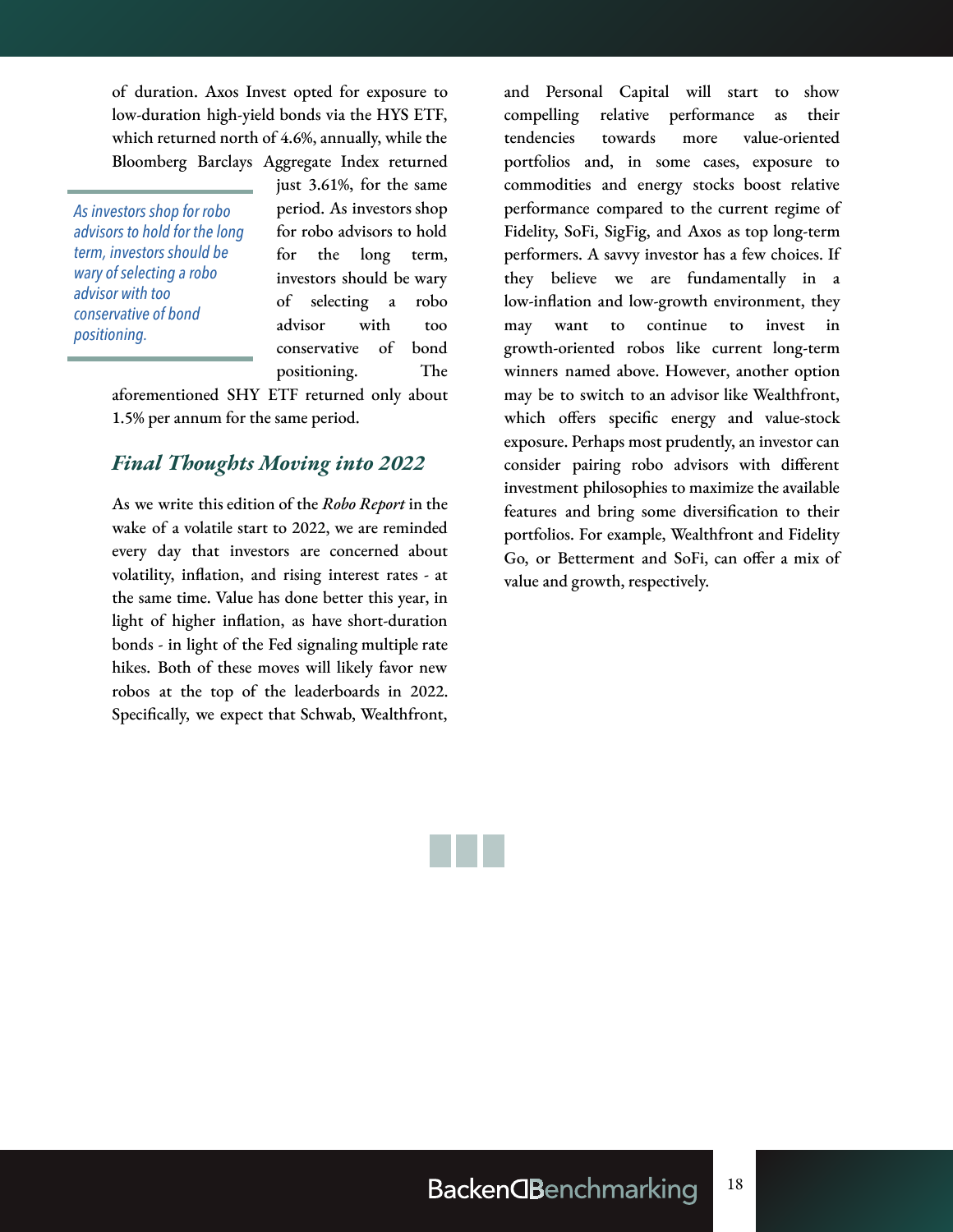of duration. Axos Invest opted for exposure to low-duration high-yield bonds via the HYS ETF, which returned north of 4.6%, annually, while the Bloomberg Barclays Aggregate Index returned

*As investors shop for robo advisors to hold for the long term, investors should be wary of selecting a robo advisor with too conservative of bond positioning.*

just 3.61%, for the same period. As investors shop for robo advisors to hold for the long term, investors should be wary of selecting a robo advisor with too conservative of bond positioning. The

aforementioned SHY ETF returned only about 1.5% per annum for the same period.

#### *Final Thoughts Moving into 2022*

As we write this edition of the *Robo Report* in the wake of a volatile start to 2022, we are reminded every day that investors are concerned about volatility, inflation, and rising interest rates - at the same time. Value has done better this year, in light of higher inflation, as have short-duration bonds - in light of the Fed signaling multiple rate hikes. Both of these moves will likely favor new robos at the top of the leaderboards in 2022. Specifically, we expect that Schwab, Wealthfront,

and Personal Capital will start to show compelling relative performance as their tendencies towards more value-oriented portfolios and, in some cases, exposure to commodities and energy stocks boost relative performance compared to the current regime of Fidelity, SoFi, SigFig, and Axos as top long-term performers. A savvy investor has a few choices. If they believe we are fundamentally in a low-inflation and low-growth environment, they may want to continue to invest in growth-oriented robos like current long-term winners named above. However, another option may be to switch to an advisor like Wealthfront, which offers specific energy and value-stock exposure. Perhaps most prudently, an investor can consider pairing robo advisors with different investment philosophies to maximize the available features and bring some diversification to their portfolios. For example, Wealthfront and Fidelity Go, or Betterment and SoFi, can offer a mix of value and growth, respectively.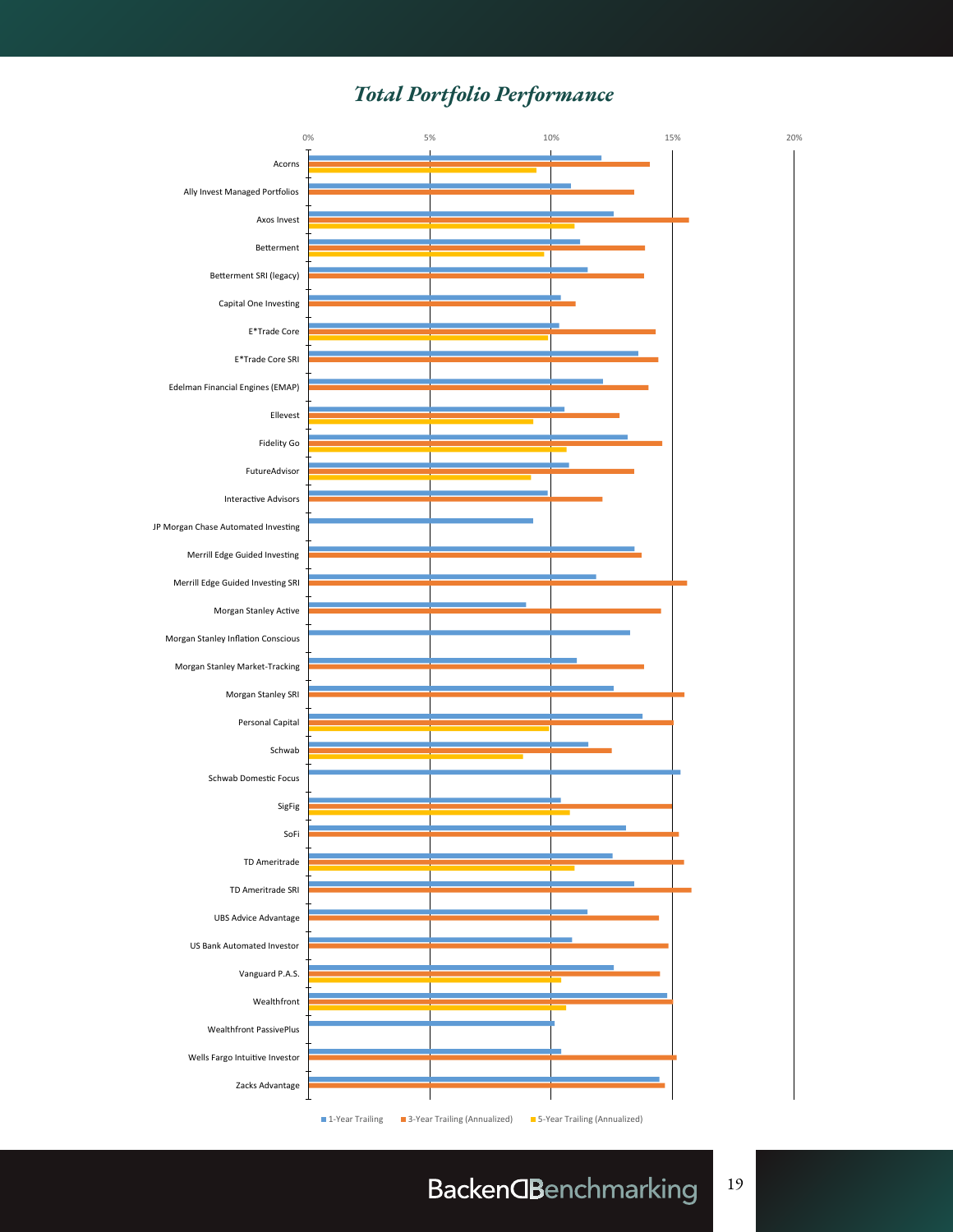## *Total Portfolio Performance*

<span id="page-18-0"></span>

## **Backen**OBenchmarking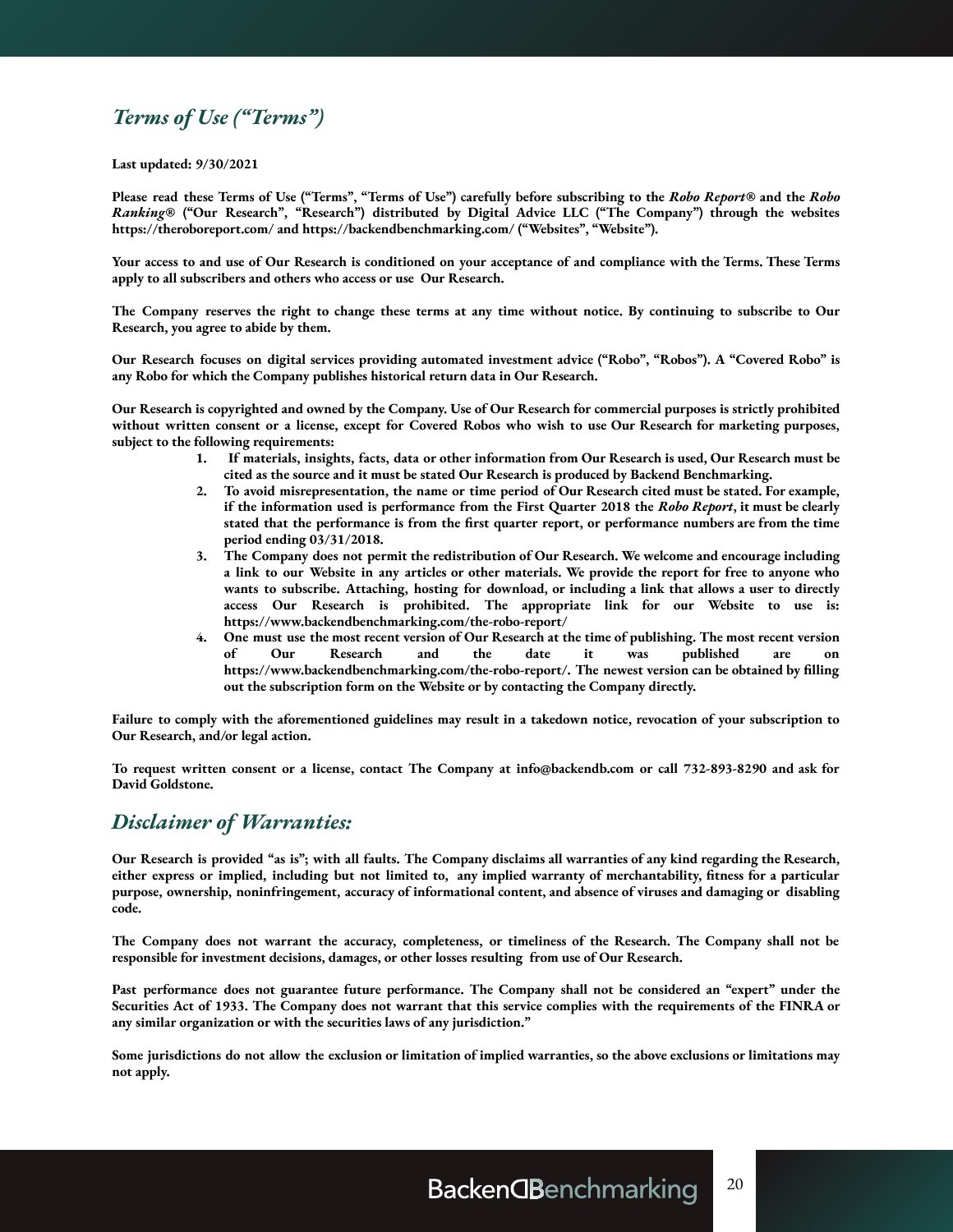## <span id="page-19-0"></span>*Terms of Use ("Terms")*

**Last updated: 9/30/2021**

**Please read these Terms of Use ("Terms", "Terms of Use") carefully before subscribing to the** *Robo Report®* **and the** *Robo Ranking®* **("Our Research", "Research") distributed by Digital Advice LLC ("The Company") through the websites https://theroboreport.com/ and https://backendbenchmarking.com/ ("Websites", "Website").**

**Your access to and use of Our Research is conditioned on your acceptance of and compliance with the Terms. These Terms apply to all subscribers and others who access or use Our Research.**

**The Company reserves the right to change these terms at any time without notice. By continuing to subscribe to Our Research, you agree to abide by them.**

**Our Research focuses on digital services providing automated investment advice ("Robo", "Robos"). A "Covered Robo" is any Robo for which the Company publishes historical return data in Our Research.**

**Our Research is copyrighted and owned by the Company. Use of Our Research for commercial purposes is strictly prohibited without written consent or a license, except for Covered Robos who wish to use Our Research for marketing purposes, subject to the following requirements:**

- **1. If materials, insights, facts, data or other information from Our Research is used, Our Research must be cited as the source and it must be stated Our Research is produced by Backend Benchmarking.**
- **2. To avoid misrepresentation, the name or time period of Our Research cited must be stated. For example, if the information used is performance from the First Quarter 2018 the** *Robo Report***, it must be clearly stated that the performance is from the first quarter report, or performance numbers are from the time period ending 03/31/2018.**
- **3. The Company does not permit the redistribution of Our Research. We welcome and encourage including a link to our Website in any articles or other materials. We provide the report for free to anyone who wants to subscribe. Attaching, hosting for download, or including a link that allows a user to directly access Our Research is prohibited. The appropriate link for our Website to use is: https://www.backendbenchmarking.com/the-robo-report/**
- **4. One must use the most recent version of Our Research at the time of publishing. The most recent version of Our Research and the date it was published are on https://www.backendbenchmarking.com/the-robo-report/. The newest version can be obtained by filling out the subscription form on the Website or by contacting the Company directly.**

**Failure to comply with the aforementioned guidelines may result in a takedown notice, revocation of your subscription to Our Research, and/or legal action.**

**To request written consent or a license, contact The Company at info@backendb.com or call 732-893-8290 and ask for David Goldstone.**

#### *Disclaimer of Warranties:*

**Our Research is provided "as is"; with all faults. The Company disclaims all warranties of any kind regarding the Research, either express or implied, including but not limited to, any implied warranty of merchantability, fitness for a particular purpose, ownership, noninfringement, accuracy of informational content, and absence of viruses and damaging or disabling code.**

**The Company does not warrant the accuracy, completeness, or timeliness of the Research. The Company shall not be responsible for investment decisions, damages, or other losses resulting from use of Our Research.**

**Past performance does not guarantee future performance. The Company shall not be considered an "expert" under the Securities Act of 1933. The Company does not warrant that this service complies with the requirements of the FINRA or any similar organization or with the securities laws of any jurisdiction."**

**Some jurisdictions do not allow the exclusion or limitation of implied warranties, so the above exclusions or limitations may not apply.**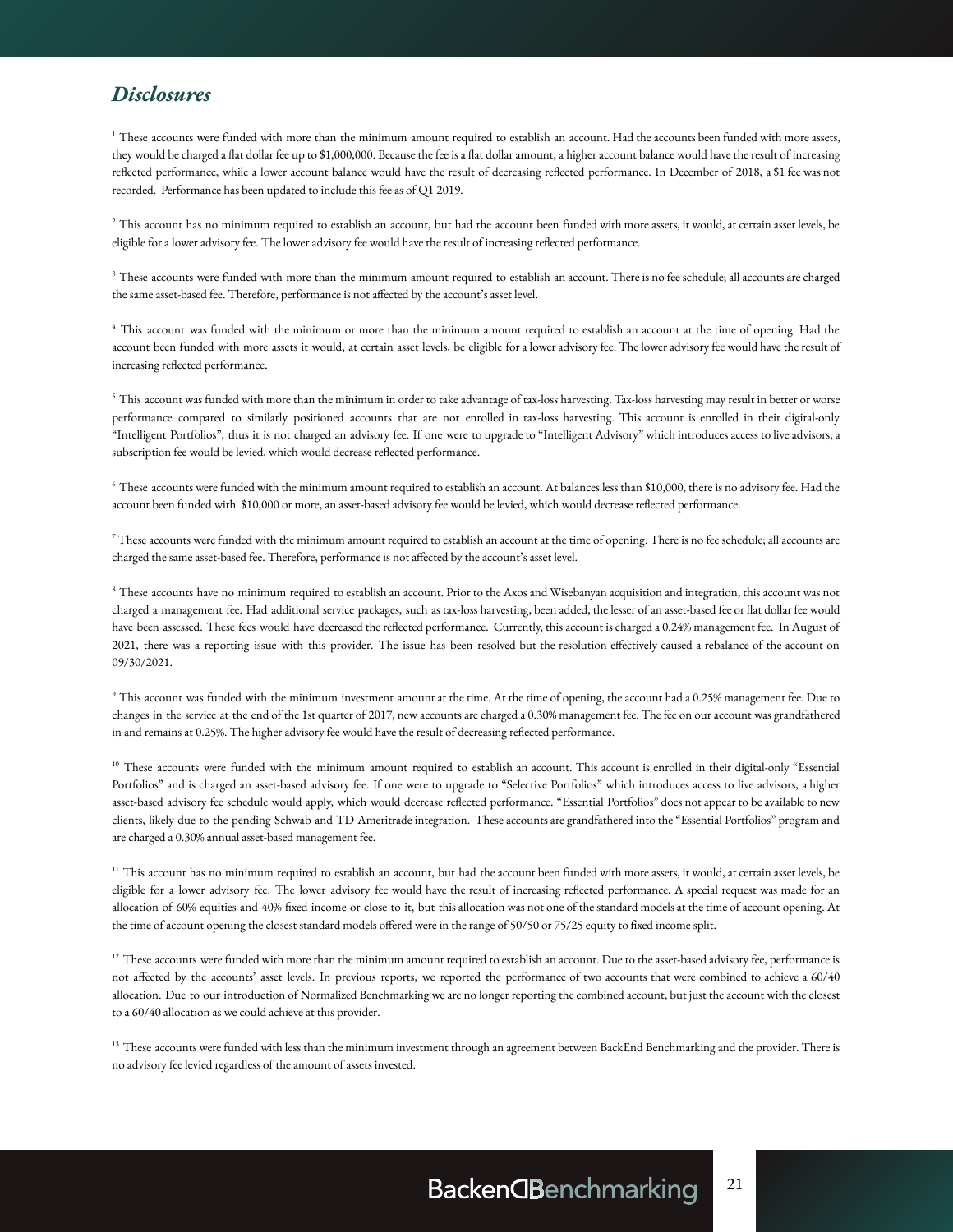#### *Disclosures*

<sup>1</sup> These accounts were funded with more than the minimum amount required to establish an account. Had the accounts been funded with more assets, they would be charged a flat dollar fee up to \$1,000,000. Because the fee is a flat dollar amount, a higher account balance would have the result of increasing reflected performance, while a lower account balance would have the result of decreasing reflected performance. In December of 2018, a \$1 fee was not recorded. Performance has been updated to include this fee as of Q1 2019.

<sup>2</sup> This account has no minimum required to establish an account, but had the account been funded with more assets, it would, at certain asset levels, be eligible for a lower advisory fee. The lower advisory fee would have the result of increasing reflected performance.

<sup>3</sup> These accounts were funded with more than the minimum amount required to establish an account. There is no fee schedule; all accounts are charged the same asset-based fee. Therefore, performance is not affected by the account's asset level.

<sup>4</sup> This account was funded with the minimum or more than the minimum amount required to establish an account at the time of opening. Had the account been funded with more assets it would, at certain asset levels, be eligible for a lower advisory fee. The lower advisory fee would have the result of increasing reflected performance.

 $5$  This account was funded with more than the minimum in order to take advantage of tax-loss harvesting. Tax-loss harvesting may result in better or worse performance compared to similarly positioned accounts that are not enrolled in tax-loss harvesting. This account is enrolled in their digital-only "Intelligent Portfolios", thus it is not charged an advisory fee. If one were to upgrade to "Intelligent Advisory" which introduces access to live advisors, a subscription fee would be levied, which would decrease reflected performance.

<sup>6</sup> These accounts were funded with the minimum amount required to establish an account. At balances less than \$10,000, there is no advisory fee. Had the account been funded with \$10,000 or more, an asset-based advisory fee would be levied, which would decrease reflected performance.

<sup>7</sup> These accounts were funded with the minimum amount required to establish an account at the time of opening. There is no fee schedule; all accounts are charged the same asset-based fee. Therefore, performance is not affected by the account's asset level.

<sup>8</sup> These accounts have no minimum required to establish an account. Prior to the Axos and Wisebanyan acquisition and integration, this account was not charged a management fee. Had additional service packages, such as tax-loss harvesting, been added, the lesser of an asset-based fee or flat dollar fee would have been assessed. These fees would have decreased the reflected performance. Currently, this account is charged a 0.24% management fee. In August of 2021, there was a reporting issue with this provider. The issue has been resolved but the resolution effectively caused a rebalance of the account on 09/30/2021.

<sup>9</sup> This account was funded with the minimum investment amount at the time. At the time of opening, the account had a 0.25% management fee. Due to changes in the service at the end of the 1st quarter of 2017, new accounts are charged a 0.30% management fee. The fee on our account was grandfathered in and remains at 0.25%. The higher advisory fee would have the result of decreasing reflected performance.

<sup>10</sup> These accounts were funded with the minimum amount required to establish an account. This account is enrolled in their digital-only "Essential Portfolios" and is charged an asset-based advisory fee. If one were to upgrade to "Selective Portfolios" which introduces access to live advisors, a higher asset-based advisory fee schedule would apply, which would decrease reflected performance. "Essential Portfolios" does not appear to be available to new clients, likely due to the pending Schwab and TD Ameritrade integration. These accounts are grandfathered into the "Essential Portfolios" program and are charged a 0.30% annual asset-based management fee.

<sup>11</sup> This account has no minimum required to establish an account, but had the account been funded with more assets, it would, at certain asset levels, be eligible for a lower advisory fee. The lower advisory fee would have the result of increasing reflected performance. A special request was made for an allocation of 60% equities and 40% fixed income or close to it, but this allocation was not one of the standard models at the time of account opening. At the time of account opening the closest standard models offered were in the range of 50/50 or 75/25 equity to fixed income split.

<sup>12</sup> These accounts were funded with more than the minimum amount required to establish an account. Due to the asset-based advisory fee, performance is not affected by the accounts' asset levels. In previous reports, we reported the performance of two accounts that were combined to achieve a 60/40 allocation. Due to our introduction of Normalized Benchmarking we are no longer reporting the combined account, but just the account with the closest to a 60/40 allocation as we could achieve at this provider.

<sup>13</sup> These accounts were funded with less than the minimum investment through an agreement between BackEnd Benchmarking and the provider. There is no advisory fee levied regardless of the amount of assets invested.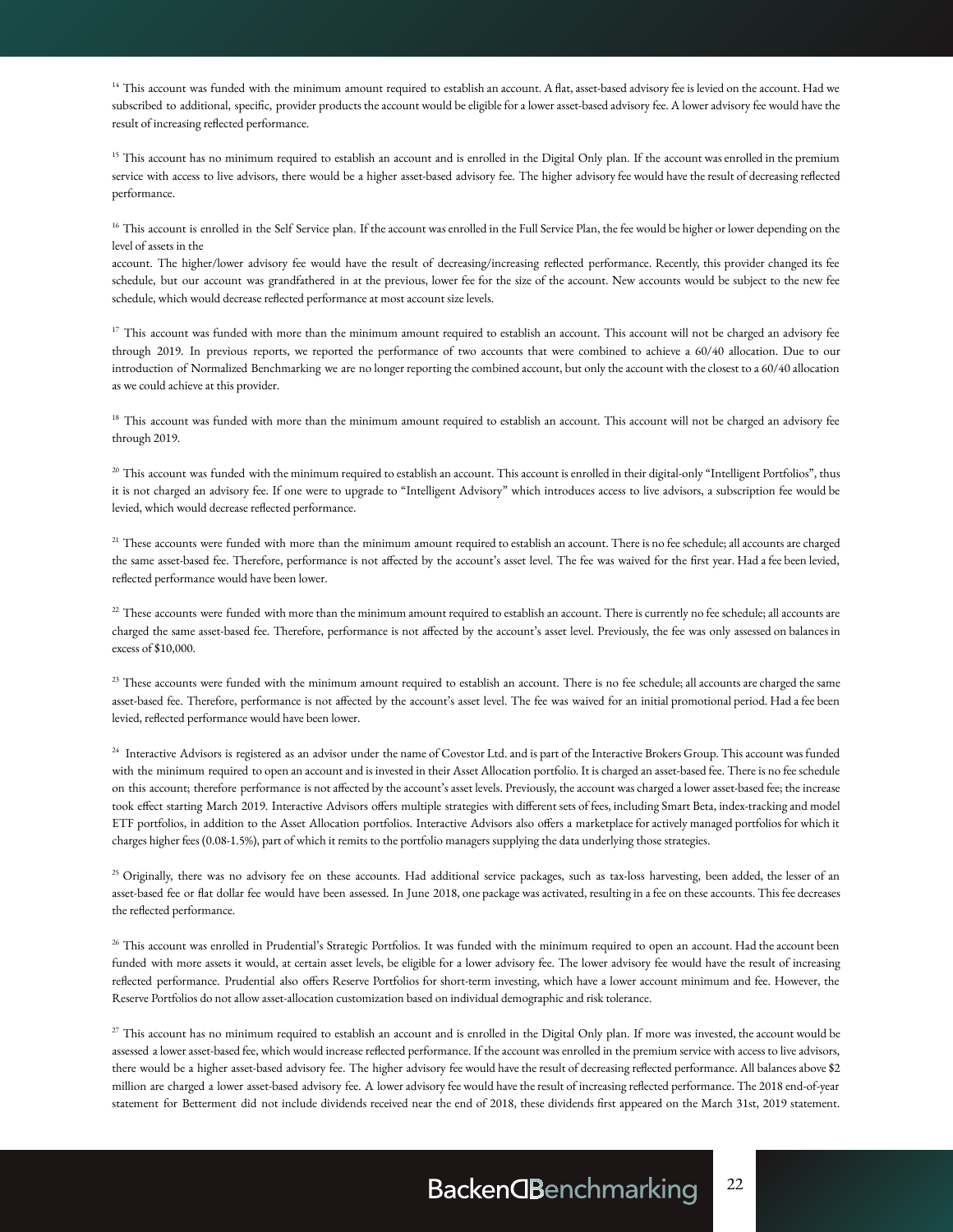<sup>14</sup> This account was funded with the minimum amount required to establish an account. A flat, asset-based advisory fee is levied on the account. Had we subscribed to additional, specific, provider products the account would be eligible for a lower asset-based advisory fee. A lower advisory fee would have the result of increasing reflected performance.

<sup>15</sup> This account has no minimum required to establish an account and is enrolled in the Digital Only plan. If the account was enrolled in the premium service with access to live advisors, there would be a higher asset-based advisory fee. The higher advisory fee would have the result of decreasing reflected performance.

<sup>16</sup> This account is enrolled in the Self Service plan. If the account was enrolled in the Full Service Plan, the fee would be higher or lower depending on the level of assets in the

account. The higher/lower advisory fee would have the result of decreasing/increasing reflected performance. Recently, this provider changed its fee schedule, but our account was grandfathered in at the previous, lower fee for the size of the account. New accounts would be subject to the new fee schedule, which would decrease reflected performance at most account size levels.

<sup>17</sup> This account was funded with more than the minimum amount required to establish an account. This account will not be charged an advisory fee through 2019. In previous reports, we reported the performance of two accounts that were combined to achieve a 60/40 allocation. Due to our introduction of Normalized Benchmarking we are no longer reporting the combined account, but only the account with the closest to a 60/40 allocation as we could achieve at this provider.

<sup>18</sup> This account was funded with more than the minimum amount required to establish an account. This account will not be charged an advisory fee through 2019.

 $^{20}$  This account was funded with the minimum required to establish an account. This account is enrolled in their digital-only "Intelligent Portfolios", thus it is not charged an advisory fee. If one were to upgrade to "Intelligent Advisory" which introduces access to live advisors, a subscription fee would be levied, which would decrease reflected performance.

<sup>21</sup> These accounts were funded with more than the minimum amount required to establish an account. There is no fee schedule; all accounts are charged the same asset-based fee. Therefore, performance is not affected by the account's asset level. The fee was waived for the first year. Had a fee been levied, reflected performance would have been lower.

 $^{22}$  These accounts were funded with more than the minimum amount required to establish an account. There is currently no fee schedule; all accounts are charged the same asset-based fee. Therefore, performance is not affected by the account's asset level. Previously, the fee was only assessed on balances in excess of \$10,000.

<sup>23</sup> These accounts were funded with the minimum amount required to establish an account. There is no fee schedule; all accounts are charged the same asset-based fee. Therefore, performance is not affected by the account's asset level. The fee was waived for an initial promotional period. Had a fee been levied, reflected performance would have been lower.

<sup>24</sup> Interactive Advisors is registered as an advisor under the name of Covestor Ltd. and is part of the Interactive Brokers Group. This account was funded with the minimum required to open an account and is invested in their Asset Allocation portfolio. It is charged an asset-based fee. There is no fee schedule on this account; therefore performance is not affected by the account's asset levels. Previously, the account was charged a lower asset-based fee; the increase took effect starting March 2019. Interactive Advisors offers multiple strategies with different sets of fees, including Smart Beta, index-tracking and model ETF portfolios, in addition to the Asset Allocation portfolios. Interactive Advisors also offers a marketplace for actively managed portfolios for which it charges higher fees (0.08-1.5%), part of which it remits to the portfolio managers supplying the data underlying those strategies.

<sup>25</sup> Originally, there was no advisory fee on these accounts. Had additional service packages, such as tax-loss harvesting, been added, the lesser of an asset-based fee or flat dollar fee would have been assessed. In June 2018, one package was activated, resulting in a fee on these accounts. This fee decreases the reflected performance.

<sup>26</sup> This account was enrolled in Prudential's Strategic Portfolios. It was funded with the minimum required to open an account. Had the account been funded with more assets it would, at certain asset levels, be eligible for a lower advisory fee. The lower advisory fee would have the result of increasing reflected performance. Prudential also offers Reserve Portfolios for short-term investing, which have a lower account minimum and fee. However, the Reserve Portfolios do not allow asset-allocation customization based on individual demographic and risk tolerance.

<sup>27</sup> This account has no minimum required to establish an account and is enrolled in the Digital Only plan. If more was invested, the account would be assessed a lower asset-based fee, which would increase reflected performance. If the account was enrolled in the premium service with access to live advisors, there would be a higher asset-based advisory fee. The higher advisory fee would have the result of decreasing reflected performance. All balances above \$2 million are charged a lower asset-based advisory fee. A lower advisory fee would have the result of increasing reflected performance. The 2018 end-of-year statement for Betterment did not include dividends received near the end of 2018, these dividends first appeared on the March 31st, 2019 statement.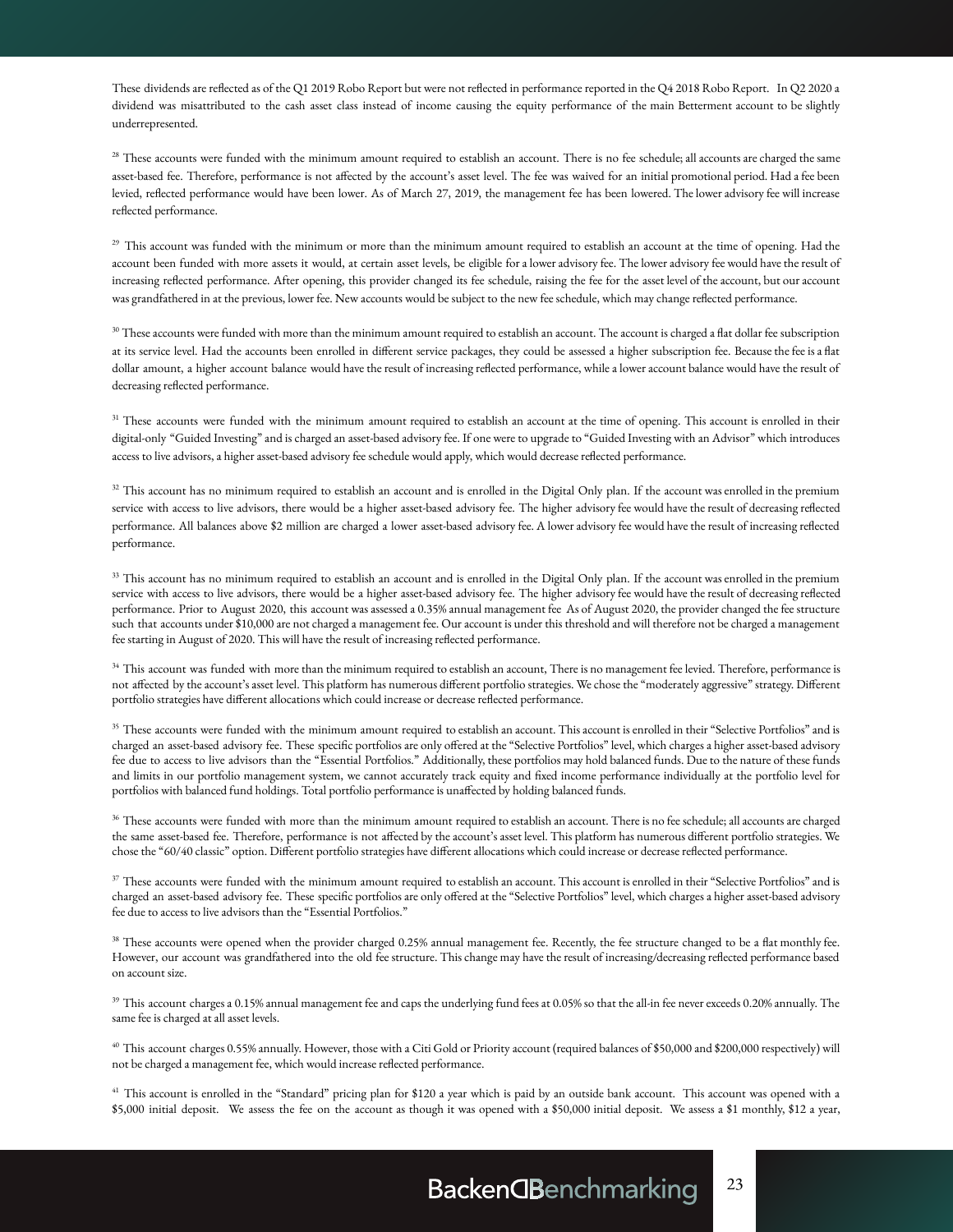These dividends are reflected as of the Q1 2019 Robo Report but were not reflected in performance reported in the Q4 2018 Robo Report. In Q2 2020 a dividend was misattributed to the cash asset class instead of income causing the equity performance of the main Betterment account to be slightly underrepresented.

<sup>28</sup> These accounts were funded with the minimum amount required to establish an account. There is no fee schedule; all accounts are charged the same asset-based fee. Therefore, performance is not affected by the account's asset level. The fee was waived for an initial promotional period. Had a fee been levied, reflected performance would have been lower. As of March 27, 2019, the management fee has been lowered. The lower advisory fee will increase reflected performance.

<sup>29</sup> This account was funded with the minimum or more than the minimum amount required to establish an account at the time of opening. Had the account been funded with more assets it would, at certain asset levels, be eligible for a lower advisory fee. The lower advisory fee would have the result of increasing reflected performance. After opening, this provider changed its fee schedule, raising the fee for the asset level of the account, but our account was grandfathered in at the previous, lower fee. New accounts would be subject to the new fee schedule, which may change reflected performance.

<sup>30</sup> These accounts were funded with more than the minimum amount required to establish an account. The account is charged a flat dollar fee subscription at its service level. Had the accounts been enrolled in different service packages, they could be assessed a higher subscription fee. Because the fee is a flat dollar amount, a higher account balance would have the result of increasing reflected performance, while a lower account balance would have the result of decreasing reflected performance.

<sup>31</sup> These accounts were funded with the minimum amount required to establish an account at the time of opening. This account is enrolled in their digital-only "Guided Investing" and is charged an asset-based advisory fee. If one were to upgrade to "Guided Investing with an Advisor" which introduces access to live advisors, a higher asset-based advisory fee schedule would apply, which would decrease reflected performance.

<sup>32</sup> This account has no minimum required to establish an account and is enrolled in the Digital Only plan. If the account was enrolled in the premium service with access to live advisors, there would be a higher asset-based advisory fee. The higher advisory fee would have the result of decreasing reflected performance. All balances above \$2 million are charged a lower asset-based advisory fee. A lower advisory fee would have the result of increasing reflected performance.

<sup>33</sup> This account has no minimum required to establish an account and is enrolled in the Digital Only plan. If the account was enrolled in the premium service with access to live advisors, there would be a higher asset-based advisory fee. The higher advisory fee would have the result of decreasing reflected performance. Prior to August 2020, this account was assessed a 0.35% annual management fee As of August 2020, the provider changed the fee structure such that accounts under \$10,000 are not charged a management fee. Our account is under this threshold and will therefore not be charged a management fee starting in August of 2020. This will have the result of increasing reflected performance.

<sup>34</sup> This account was funded with more than the minimum required to establish an account, There is no management fee levied. Therefore, performance is not affected by the account's asset level. This platform has numerous different portfolio strategies. We chose the "moderately aggressive" strategy. Different portfolio strategies have different allocations which could increase or decrease reflected performance.

<sup>35</sup> These accounts were funded with the minimum amount required to establish an account. This account is enrolled in their "Selective Portfolios" and is charged an asset-based advisory fee. These specific portfolios are only offered at the "Selective Portfolios" level, which charges a higher asset-based advisory fee due to access to live advisors than the "Essential Portfolios." Additionally, these portfolios may hold balanced funds. Due to the nature of these funds and limits in our portfolio management system, we cannot accurately track equity and fixed income performance individually at the portfolio level for portfolios with balanced fund holdings. Total portfolio performance is unaffected by holding balanced funds.

<sup>36</sup> These accounts were funded with more than the minimum amount required to establish an account. There is no fee schedule; all accounts are charged the same asset-based fee. Therefore, performance is not affected by the account's asset level. This platform has numerous different portfolio strategies. We chose the "60/40 classic" option. Different portfolio strategies have different allocations which could increase or decrease reflected performance.

<sup>37</sup> These accounts were funded with the minimum amount required to establish an account. This account is enrolled in their "Selective Portfolios" and is charged an asset-based advisory fee. These specific portfolios are only offered at the "Selective Portfolios" level, which charges a higher asset-based advisory fee due to access to live advisors than the "Essential Portfolios."

<sup>38</sup> These accounts were opened when the provider charged 0.25% annual management fee. Recently, the fee structure changed to be a flat monthly fee. However, our account was grandfathered into the old fee structure. This change may have the result of increasing/decreasing reflected performance based on account size.

<sup>39</sup> This account charges a 0.15% annual management fee and caps the underlying fund fees at 0.05% so that the all-in fee never exceeds 0.20% annually. The same fee is charged at all asset levels.

<sup>40</sup> This account charges 0.55% annually. However, those with a Citi Gold or Priority account (required balances of \$50,000 and \$200,000 respectively) will not be charged a management fee, which would increase reflected performance.

<sup>41</sup> This account is enrolled in the "Standard" pricing plan for \$120 a year which is paid by an outside bank account. This account was opened with a \$5,000 initial deposit. We assess the fee on the account as though it was opened with a \$50,000 initial deposit. We assess a \$1 monthly, \$12 a year,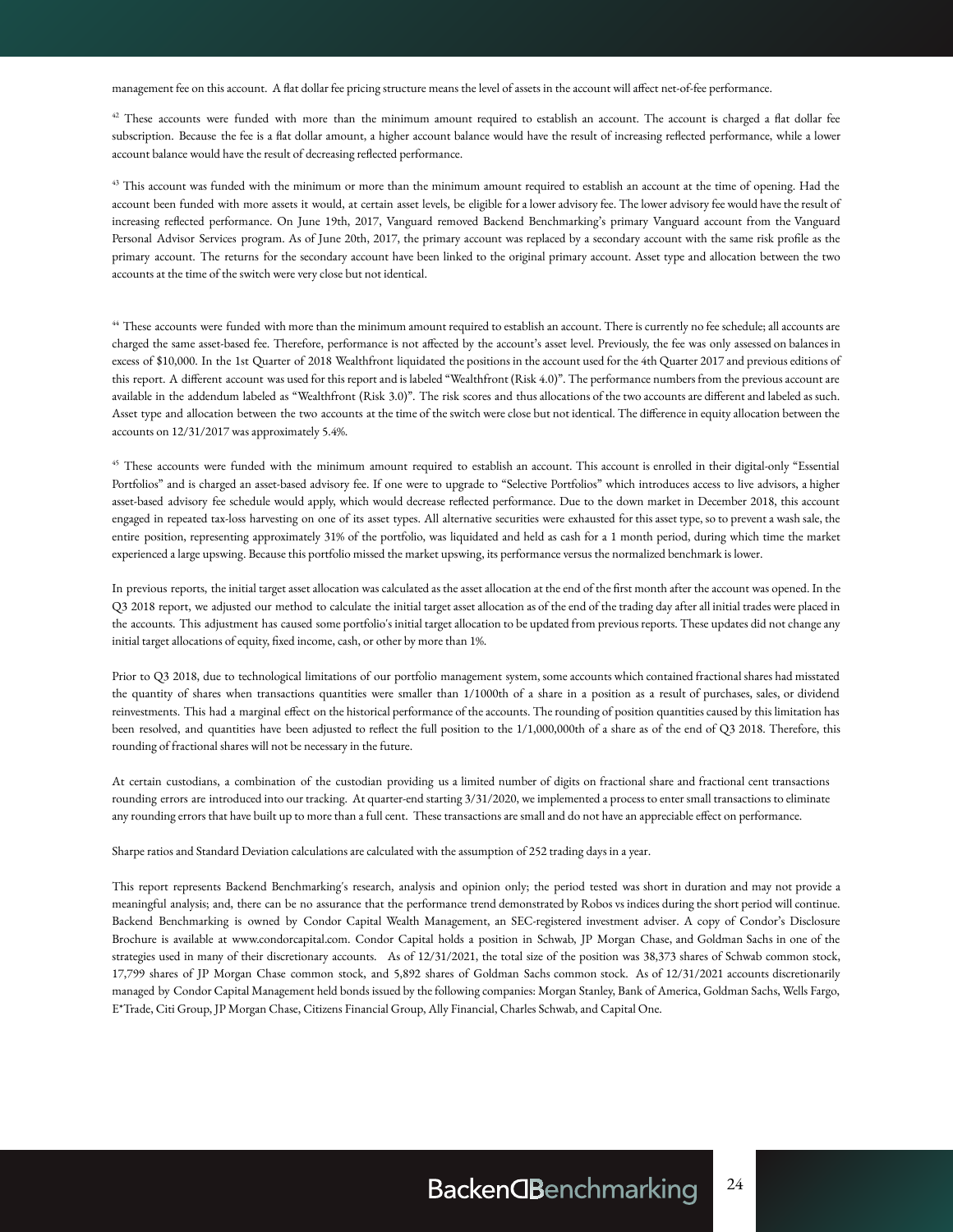management fee on this account. A flat dollar fee pricing structure means the level of assets in the account will affect net-of-fee performance.

 $42$  These accounts were funded with more than the minimum amount required to establish an account. The account is charged a flat dollar fee subscription. Because the fee is a flat dollar amount, a higher account balance would have the result of increasing reflected performance, while a lower account balance would have the result of decreasing reflected performance.

<sup>43</sup> This account was funded with the minimum or more than the minimum amount required to establish an account at the time of opening. Had the account been funded with more assets it would, at certain asset levels, be eligible for a lower advisory fee. The lower advisory fee would have the result of increasing reflected performance. On June 19th, 2017, Vanguard removed Backend Benchmarking's primary Vanguard account from the Vanguard Personal Advisor Services program. As of June 20th, 2017, the primary account was replaced by a secondary account with the same risk profile as the primary account. The returns for the secondary account have been linked to the original primary account. Asset type and allocation between the two accounts at the time of the switch were very close but not identical.

<sup>44</sup> These accounts were funded with more than the minimum amount required to establish an account. There is currently no fee schedule; all accounts are charged the same asset-based fee. Therefore, performance is not affected by the account's asset level. Previously, the fee was only assessed on balances in excess of \$10,000. In the 1st Quarter of 2018 Wealthfront liquidated the positions in the account used for the 4th Quarter 2017 and previous editions of this report. A different account was used for this report and is labeled "Wealthfront (Risk 4.0)". The performance numbers from the previous account are available in the addendum labeled as "Wealthfront (Risk 3.0)". The risk scores and thus allocations of the two accounts are different and labeled as such. Asset type and allocation between the two accounts at the time of the switch were close but not identical. The difference in equity allocation between the accounts on 12/31/2017 was approximately 5.4%.

<sup>45</sup> These accounts were funded with the minimum amount required to establish an account. This account is enrolled in their digital-only "Essential Portfolios" and is charged an asset-based advisory fee. If one were to upgrade to "Selective Portfolios" which introduces access to live advisors, a higher asset-based advisory fee schedule would apply, which would decrease reflected performance. Due to the down market in December 2018, this account engaged in repeated tax-loss harvesting on one of its asset types. All alternative securities were exhausted for this asset type, so to prevent a wash sale, the entire position, representing approximately 31% of the portfolio, was liquidated and held as cash for a 1 month period, during which time the market experienced a large upswing. Because this portfolio missed the market upswing, its performance versus the normalized benchmark is lower.

In previous reports, the initial target asset allocation was calculated as the asset allocation at the end of the first month after the account was opened. In the Q3 2018 report, we adjusted our method to calculate the initial target asset allocation as of the end of the trading day after all initial trades were placed in the accounts. This adjustment has caused some portfolio's initial target allocation to be updated from previous reports. These updates did not change any initial target allocations of equity, fixed income, cash, or other by more than 1%.

Prior to Q3 2018, due to technological limitations of our portfolio management system, some accounts which contained fractional shares had misstated the quantity of shares when transactions quantities were smaller than 1/1000th of a share in a position as a result of purchases, sales, or dividend reinvestments. This had a marginal effect on the historical performance of the accounts. The rounding of position quantities caused by this limitation has been resolved, and quantities have been adjusted to reflect the full position to the 1/1,000,000th of a share as of the end of Q3 2018. Therefore, this rounding of fractional shares will not be necessary in the future.

At certain custodians, a combination of the custodian providing us a limited number of digits on fractional share and fractional cent transactions rounding errors are introduced into our tracking. At quarter-end starting 3/31/2020, we implemented a process to enter small transactions to eliminate any rounding errors that have built up to more than a full cent. These transactions are small and do not have an appreciable effect on performance.

Sharpe ratios and Standard Deviation calculations are calculated with the assumption of 252 trading days in a year.

This report represents Backend Benchmarking's research, analysis and opinion only; the period tested was short in duration and may not provide a meaningful analysis; and, there can be no assurance that the performance trend demonstrated by Robos vs indices during the short period will continue. Backend Benchmarking is owned by Condor Capital Wealth Management, an SEC-registered investment adviser. A copy of Condor's Disclosure Brochure is available at www.condorcapital.com. Condor Capital holds a position in Schwab, JP Morgan Chase, and Goldman Sachs in one of the strategies used in many of their discretionary accounts. As of 12/31/2021, the total size of the position was 38,373 shares of Schwab common stock, 17,799 shares of JP Morgan Chase common stock, and 5,892 shares of Goldman Sachs common stock. As of 12/31/2021 accounts discretionarily managed by Condor Capital Management held bonds issued by the following companies: Morgan Stanley, Bank of America, Goldman Sachs, Wells Fargo, E\*Trade, Citi Group, JP Morgan Chase, Citizens Financial Group, Ally Financial, Charles Schwab, and Capital One.